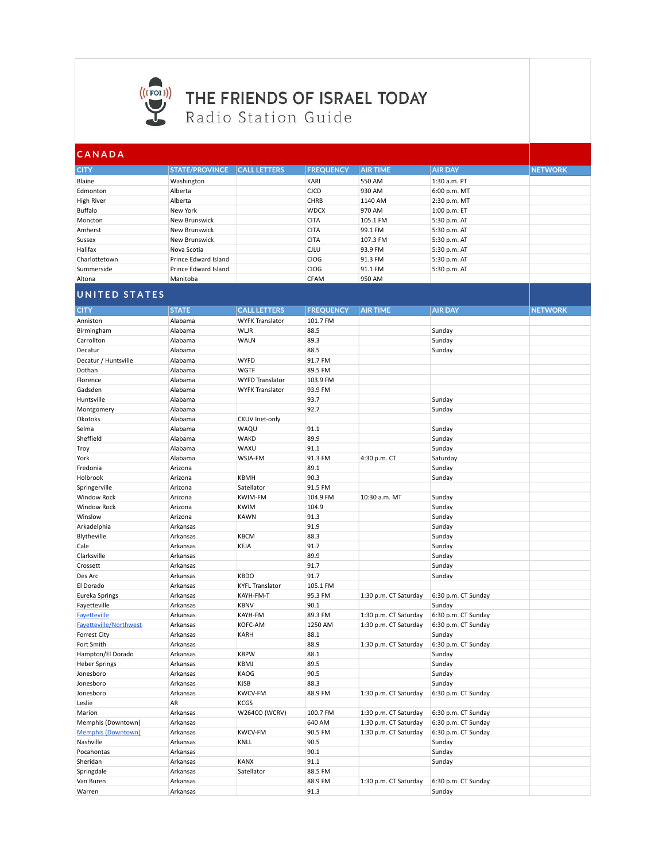

## (((FOI)) THE FRIENDS OF ISRAEL TODAY Radio Station Guide

| ICANADA       |                       |                     |                  |                 |                |                |  |  |
|---------------|-----------------------|---------------------|------------------|-----------------|----------------|----------------|--|--|
| <b>CITY</b>   | <b>STATE/PROVINCE</b> | <b>CALL LETTERS</b> | <b>FREQUENCY</b> | <b>AIR TIME</b> | <b>AIR DAY</b> | <b>NETWORK</b> |  |  |
| Blaine        | Washington            |                     | KARI             | 550 AM          | 1:30 a.m. PT   |                |  |  |
| Edmonton      | Alberta               |                     | <b>CJCD</b>      | 930 AM          | 6:00 p.m. MT   |                |  |  |
| High River    | Alberta               |                     | <b>CHRB</b>      | 1140 AM         | 2:30 p.m. MT   |                |  |  |
| Buffalo       | New York              |                     | <b>WDCX</b>      | 970 AM          | 1:00 p.m. ET   |                |  |  |
| Moncton       | New Brunswick         |                     | <b>CITA</b>      | 105.1 FM        | 5:30 p.m. AT   |                |  |  |
| Amherst       | New Brunswick         |                     | <b>CITA</b>      | 99.1 FM         | 5:30 p.m. AT   |                |  |  |
| Sussex        | New Brunswick         |                     | <b>CITA</b>      | 107.3 FM        | 5:30 p.m. AT   |                |  |  |
| Halifax       | Nova Scotia           |                     | <b>CJLU</b>      | 93.9 FM         | 5:30 p.m. AT   |                |  |  |
| Charlottetown | Prince Edward Island  |                     | <b>CIOG</b>      | 91.3 FM         | 5:30 p.m. AT   |                |  |  |
| Summerside    | Prince Edward Island  |                     | <b>CIOG</b>      | 91.1 FM         | 5:30 p.m. AT   |                |  |  |
| Altona        | Manitoba              |                     | <b>CFAM</b>      | 950 AM          |                |                |  |  |
|               |                       |                     |                  |                 |                |                |  |  |

## **UNITED STATES**

| <b>CITY</b>               | <b>STATE</b> | <b>CALL LETTERS</b>    | <b>FREQUENCY</b> | <b>AIR TIME</b>       | <b>AIR DAY</b>      | <b>NETWORK</b> |
|---------------------------|--------------|------------------------|------------------|-----------------------|---------------------|----------------|
| Anniston                  | Alabama      | <b>WYFK Translator</b> | 101.7 FM         |                       |                     |                |
| Birmingham                | Alabama      | WLJR                   | 88.5             |                       | Sunday              |                |
| Carrollton                | Alabama      | <b>WALN</b>            | 89.3             |                       | Sunday              |                |
| Decatur                   | Alabama      |                        | 88.5             |                       | Sunday              |                |
| Decatur / Huntsville      | Alabama      | <b>WYFD</b>            | 91.7 FM          |                       |                     |                |
| Dothan                    | Alabama      | WGTF                   | 89.5 FM          |                       |                     |                |
| Florence                  | Alabama      | <b>WYFD Translator</b> | 103.9 FM         |                       |                     |                |
| Gadsden                   | Alabama      | <b>WYFK Translator</b> | 93.9 FM          |                       |                     |                |
| Huntsville                | Alabama      |                        | 93.7             |                       | Sunday              |                |
| Montgomery                | Alabama      |                        | 92.7             |                       | Sunday              |                |
| Okotoks                   | Alabama      | <b>CKUV Inet-only</b>  |                  |                       |                     |                |
| Selma                     | Alabama      | WAQU                   | 91.1             |                       | Sunday              |                |
| Sheffield                 | Alabama      | <b>WAKD</b>            | 89.9             |                       | Sunday              |                |
| Troy                      | Alabama      | WAXU                   | 91.1             |                       | Sunday              |                |
| York                      | Alabama      | WSJA-FM                | 91.3 FM          | 4:30 p.m. CT          | Saturday            |                |
| Fredonia                  | Arizona      |                        | 89.1             |                       | Sunday              |                |
| Holbrook                  | Arizona      | <b>KBMH</b>            | 90.3             |                       | Sunday              |                |
| Springerville             | Arizona      | Satellator             | 91.5 FM          |                       |                     |                |
| <b>Window Rock</b>        | Arizona      | <b>KWIM-FM</b>         | 104.9 FM         | 10:30 a.m. MT         | Sunday              |                |
| <b>Window Rock</b>        | Arizona      | <b>KWIM</b>            | 104.9            |                       | Sunday              |                |
| Winslow                   | Arizona      | <b>KAWN</b>            | 91.3             |                       | Sunday              |                |
| Arkadelphia               | Arkansas     |                        | 91.9             |                       | Sunday              |                |
| Blytheville               | Arkansas     | <b>KBCM</b>            | 88.3             |                       | Sunday              |                |
| Cale                      | Arkansas     | KEJA                   | 91.7             |                       | Sunday              |                |
| Clarksville               | Arkansas     |                        | 89.9             |                       | Sunday              |                |
| Crossett                  | Arkansas     |                        | 91.7             |                       | Sunday              |                |
| Des Arc                   | Arkansas     | <b>KBDO</b>            | 91.7             |                       | Sunday              |                |
| El Dorado                 | Arkansas     | <b>KYFL Translator</b> | 105.1 FM         |                       |                     |                |
| Eureka Springs            | Arkansas     | KAYH-FM-T              | 95.3 FM          | 1:30 p.m. CT Saturday | 6:30 p.m. CT Sunday |                |
| Fayetteville              | Arkansas     | <b>KBNV</b>            | 90.1             |                       | Sunday              |                |
| <b>Fayetteville</b>       | Arkansas     | KAYH-FM                | 89.3 FM          | 1:30 p.m. CT Saturday | 6:30 p.m. CT Sunday |                |
| Fayetteville/Northwest    | Arkansas     | KOFC-AM                | 1250 AM          | 1:30 p.m. CT Saturday | 6:30 p.m. CT Sunday |                |
| <b>Forrest City</b>       | Arkansas     | KARH                   | 88.1             |                       | Sunday              |                |
| Fort Smith                | Arkansas     |                        | 88.9             | 1:30 p.m. CT Saturday | 6:30 p.m. CT Sunday |                |
| Hampton/El Dorado         | Arkansas     | <b>KBPW</b>            | 88.1             |                       | Sunday              |                |
| <b>Heber Springs</b>      | Arkansas     | <b>KBMJ</b>            | 89.5             |                       | Sunday              |                |
| Jonesboro                 | Arkansas     | KAOG                   | 90.5             |                       | Sunday              |                |
| Jonesboro                 | Arkansas     | <b>KJSB</b>            | 88.3             |                       | Sunday              |                |
| Jonesboro                 | Arkansas     | <b>KWCV-FM</b>         | 88.9 FM          | 1:30 p.m. CT Saturday | 6:30 p.m. CT Sunday |                |
| Leslie                    | AR           | <b>KCGS</b>            |                  |                       |                     |                |
| Marion                    | Arkansas     | W264CO (WCRV)          | 100.7 FM         | 1:30 p.m. CT Saturday | 6:30 p.m. CT Sunday |                |
| Memphis (Downtown)        | Arkansas     |                        | 640 AM           | 1:30 p.m. CT Saturday | 6:30 p.m. CT Sunday |                |
| <b>Memphis (Downtown)</b> | Arkansas     | <b>KWCV-FM</b>         | 90.5 FM          | 1:30 p.m. CT Saturday | 6:30 p.m. CT Sunday |                |
| Nashville                 | Arkansas     | KNLL                   | 90.5             |                       | Sunday              |                |
| Pocahontas                | Arkansas     |                        | 90.1             |                       | Sunday              |                |
| Sheridan                  | Arkansas     | <b>KANX</b>            | 91.1             |                       | Sunday              |                |
| Springdale                | Arkansas     | Satellator             | 88.5 FM          |                       |                     |                |
| Van Buren                 | Arkansas     |                        | 88.9 FM          | 1:30 p.m. CT Saturday | 6:30 p.m. CT Sunday |                |
| Warren                    | Arkansas     |                        | 91.3             |                       | Sunday              |                |
|                           |              |                        |                  |                       |                     |                |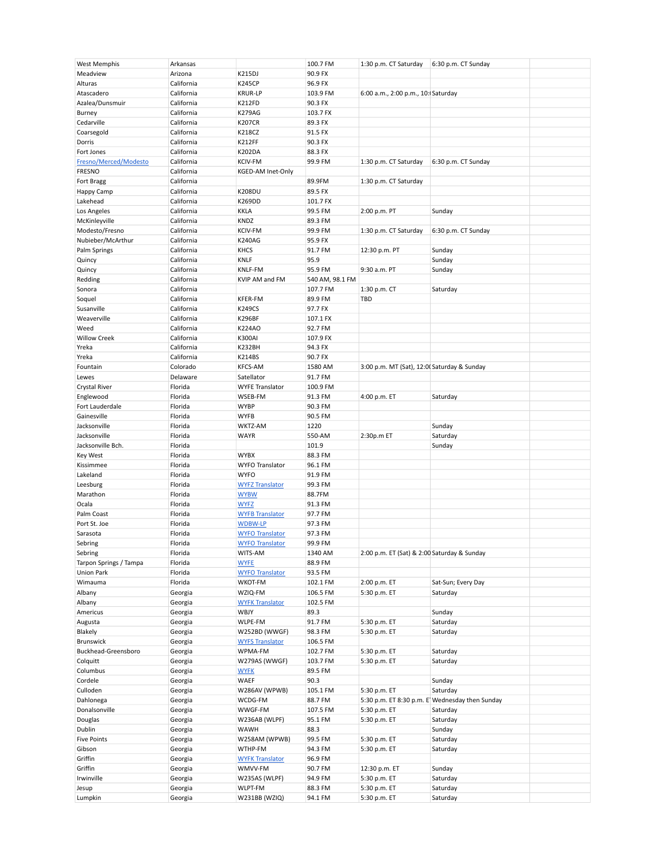| West Memphis           | Arkansas   |                        | 100.7 FM        | 1:30 p.m. CT Saturday                       | 6:30 p.m. CT Sunday                             |
|------------------------|------------|------------------------|-----------------|---------------------------------------------|-------------------------------------------------|
| Meadview               | Arizona    | <b>K215DJ</b>          | 90.9 FX         |                                             |                                                 |
| Alturas                | California | <b>K245CP</b>          | 96.9 FX         |                                             |                                                 |
| Atascadero             | California | <b>KRUR-LP</b>         | 103.9 FM        | 6:00 a.m., 2:00 p.m., 10: Saturday          |                                                 |
|                        |            |                        |                 |                                             |                                                 |
| Azalea/Dunsmuir        | California | K212FD                 | 90.3 FX         |                                             |                                                 |
| Burney                 | California | <b>K279AG</b>          | 103.7 FX        |                                             |                                                 |
| Cedarville             | California | <b>K207CR</b>          | 89.3 FX         |                                             |                                                 |
|                        |            |                        |                 |                                             |                                                 |
| Coarsegold             | California | K218CZ                 | 91.5 FX         |                                             |                                                 |
| Dorris                 | California | <b>K212FF</b>          | 90.3 FX         |                                             |                                                 |
| Fort Jones             | California | K202DA                 | 88.3 FX         |                                             |                                                 |
|                        |            |                        |                 |                                             |                                                 |
| Fresno/Merced/Modesto  | California | <b>KCIV-FM</b>         | 99.9 FM         | 1:30 p.m. CT Saturday                       | 6:30 p.m. CT Sunday                             |
| <b>FRESNO</b>          | California | KGED-AM Inet-Only      |                 |                                             |                                                 |
| Fort Bragg             | California |                        | 89.9FM          | 1:30 p.m. CT Saturday                       |                                                 |
|                        |            |                        |                 |                                             |                                                 |
| Happy Camp             | California | K208DU                 | 89.5 FX         |                                             |                                                 |
| Lakehead               | California | K269DD                 | 101.7 FX        |                                             |                                                 |
| Los Angeles            | California | <b>KKLA</b>            | 99.5 FM         | 2:00 p.m. PT                                | Sunday                                          |
|                        |            |                        |                 |                                             |                                                 |
| McKinleyville          | California | KNDZ                   | 89.3 FM         |                                             |                                                 |
| Modesto/Fresno         | California | <b>KCIV-FM</b>         | 99.9 FM         | 1:30 p.m. CT Saturday                       | 6:30 p.m. CT Sunday                             |
|                        |            |                        |                 |                                             |                                                 |
| Nubieber/McArthur      | California | <b>K240AG</b>          | 95.9 FX         |                                             |                                                 |
| Palm Springs           | California | <b>KHCS</b>            | 91.7 FM         | 12:30 p.m. PT                               | Sunday                                          |
| Quincy                 | California | <b>KNLF</b>            | 95.9            |                                             | Sunday                                          |
|                        |            |                        |                 | 9:30 a.m. PT                                |                                                 |
| Quincy                 | California | KNLF-FM                | 95.9 FM         |                                             | Sunday                                          |
| Redding                | California | KVIP AM and FM         | 540 AM, 98.1 FM |                                             |                                                 |
| Sonora                 | California |                        | 107.7 FM        | 1:30 p.m. CT                                | Saturday                                        |
|                        |            |                        |                 |                                             |                                                 |
| Soquel                 | California | KFER-FM                | 89.9 FM         | TBD                                         |                                                 |
| Susanville             | California | <b>K249CS</b>          | 97.7 FX         |                                             |                                                 |
| Weaverville            | California | <b>K296BF</b>          | 107.1 FX        |                                             |                                                 |
|                        |            |                        |                 |                                             |                                                 |
| Weed                   | California | K224AO                 | 92.7 FM         |                                             |                                                 |
| <b>Willow Creek</b>    | California | <b>K300AI</b>          | 107.9 FX        |                                             |                                                 |
| Yreka                  | California | <b>K232BH</b>          | 94.3 FX         |                                             |                                                 |
|                        |            |                        |                 |                                             |                                                 |
| Yreka                  | California | K214BS                 | 90.7 FX         |                                             |                                                 |
| Fountain               | Colorado   | <b>KFCS-AM</b>         | 1580 AM         | 3:00 p.m. MT (Sat), 12:00 Saturday & Sunday |                                                 |
| Lewes                  | Delaware   | Satellator             | 91.7 FM         |                                             |                                                 |
|                        |            |                        |                 |                                             |                                                 |
| <b>Crystal River</b>   | Florida    | <b>WYFE Translator</b> | 100.9 FM        |                                             |                                                 |
| Englewood              | Florida    | WSEB-FM                | 91.3 FM         | 4:00 p.m. ET                                | Saturday                                        |
|                        |            |                        |                 |                                             |                                                 |
| Fort Lauderdale        | Florida    | <b>WYBP</b>            | 90.3 FM         |                                             |                                                 |
| Gainesville            | Florida    | <b>WYFB</b>            | 90.5 FM         |                                             |                                                 |
| Jacksonville           | Florida    | WKTZ-AM                | 1220            |                                             | Sunday                                          |
|                        |            |                        |                 |                                             |                                                 |
| Jacksonville           | Florida    | <b>WAYR</b>            | 550-AM          | 2:30p.m ET                                  | Saturday                                        |
| Jacksonville Bch.      | Florida    |                        | 101.9           |                                             | Sunday                                          |
|                        |            |                        |                 |                                             |                                                 |
| <b>Key West</b>        | Florida    | <b>WYBX</b>            | 88.3 FM         |                                             |                                                 |
| Kissimmee              | Florida    | <b>WYFO Translator</b> | 96.1 FM         |                                             |                                                 |
| Lakeland               | Florida    | <b>WYFO</b>            | 91.9 FM         |                                             |                                                 |
|                        |            |                        |                 |                                             |                                                 |
| Leesburg               | Florida    | <b>WYFZ Translator</b> | 99.3 FM         |                                             |                                                 |
| Marathon               | Florida    | <b>WYBW</b>            | 88.7FM          |                                             |                                                 |
| Ocala                  | Florida    | <b>WYFZ</b>            | 91.3 FM         |                                             |                                                 |
|                        |            |                        |                 |                                             |                                                 |
| Palm Coast             | Florida    | <b>WYFB Translator</b> | 97.7 FM         |                                             |                                                 |
| Port St. Joe           | Florida    | <b>WDBW-LP</b>         | 97.3 FM         |                                             |                                                 |
|                        |            |                        |                 |                                             |                                                 |
| Sarasota               | Florida    | <b>WYFO Translator</b> | 97.3 FM         |                                             |                                                 |
| Sebring                | Florida    | <b>WYFO Translator</b> | 99.9 FM         |                                             |                                                 |
| Sebring                | Florida    | WITS-AM                | 1340 AM         | 2:00 p.m. ET (Sat) & 2:00 Saturday & Sunday |                                                 |
|                        |            |                        |                 |                                             |                                                 |
| Tarpon Springs / Tampa | Florida    | <b>WYFE</b>            | 88.9 FM         |                                             |                                                 |
| Union Park             | Florida    | <b>WYFO Translator</b> | 93.5 FM         |                                             |                                                 |
| Wimauma                | Florida    | WKOT-FM                | 102.1 FM        | 2:00 p.m. ET                                | Sat-Sun; Every Day                              |
|                        |            |                        |                 |                                             |                                                 |
| Albany                 | Georgia    | WZIQ-FM                | 106.5 FM        | 5:30 p.m. ET                                | Saturday                                        |
| Albany                 | Georgia    | <b>WYFK Translator</b> | 102.5 FM        |                                             |                                                 |
| Americus               | Georgia    | WBJY                   | 89.3            |                                             | Sunday                                          |
|                        |            |                        |                 |                                             |                                                 |
| Augusta                | Georgia    | WLPE-FM                | 91.7 FM         | 5:30 p.m. ET                                | Saturday                                        |
| Blakely                | Georgia    | W252BD (WWGF)          | 98.3 FM         | 5:30 p.m. ET                                | Saturday                                        |
| Brunswick              | Georgia    | <b>WYFS Translator</b> | 106.5 FM        |                                             |                                                 |
|                        |            |                        |                 |                                             |                                                 |
| Buckhead-Greensboro    | Georgia    | WPMA-FM                | 102.7 FM        | 5:30 p.m. ET                                | Saturday                                        |
| Colquitt               | Georgia    | W279AS (WWGF)          | 103.7 FM        | 5:30 p.m. ET                                | Saturday                                        |
| Columbus               |            |                        | 89.5 FM         |                                             |                                                 |
|                        | Georgia    | <b>WYFK</b>            |                 |                                             |                                                 |
| Cordele                | Georgia    | WAEF                   | 90.3            |                                             | Sunday                                          |
| Culloden               | Georgia    | W286AV (WPWB)          | 105.1 FM        | 5:30 p.m. ET                                | Saturday                                        |
|                        |            |                        |                 |                                             |                                                 |
| Dahlonega              | Georgia    | WCDG-FM                | 88.7 FM         |                                             | 5:30 p.m. ET 8:30 p.m. E' Wednesday then Sunday |
| Donalsonville          | Georgia    | WWGF-FM                | 107.5 FM        | 5:30 p.m. ET                                | Saturday                                        |
| Douglas                | Georgia    | W236AB (WLPF)          | 95.1 FM         | 5:30 p.m. ET                                | Saturday                                        |
|                        |            |                        |                 |                                             |                                                 |
| Dublin                 | Georgia    | <b>WAWH</b>            | 88.3            |                                             | Sunday                                          |
| <b>Five Points</b>     | Georgia    | W258AM (WPWB)          | 99.5 FM         | 5:30 p.m. ET                                | Saturday                                        |
|                        |            |                        |                 |                                             |                                                 |
| Gibson                 | Georgia    | WTHP-FM                | 94.3 FM         | 5:30 p.m. ET                                | Saturday                                        |
| Griffin                | Georgia    | <b>WYFK Translator</b> | 96.9 FM         |                                             |                                                 |
| Griffin                | Georgia    | WMVV-FM                | 90.7 FM         | 12:30 p.m. ET                               | Sunday                                          |
|                        |            |                        |                 |                                             |                                                 |
| Irwinville             | Georgia    | W235AS (WLPF)          | 94.9 FM         | 5:30 p.m. ET                                | Saturday                                        |
| Jesup                  | Georgia    | WLPT-FM                | 88.3 FM         | 5:30 p.m. ET                                | Saturday                                        |
| Lumpkin                | Georgia    | W231BB (WZIQ)          | 94.1 FM         | 5:30 p.m. ET                                | Saturday                                        |
|                        |            |                        |                 |                                             |                                                 |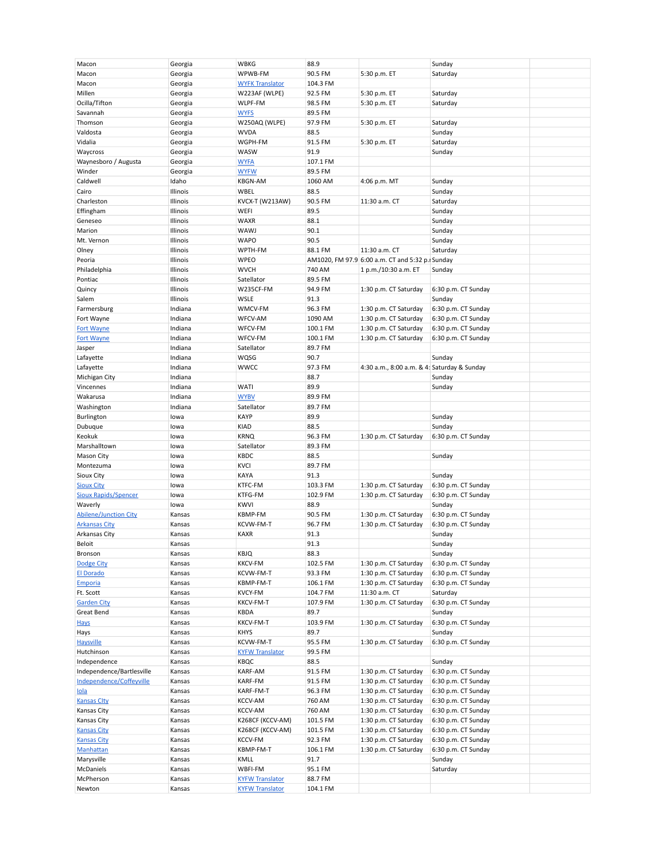| Macon                        | Georgia  | <b>WBKG</b>            | 88.9     |                                                 | Sunday              |
|------------------------------|----------|------------------------|----------|-------------------------------------------------|---------------------|
| Macon                        | Georgia  | WPWB-FM                | 90.5 FM  | 5:30 p.m. ET                                    | Saturday            |
| Macon                        | Georgia  | <b>WYFK Translator</b> | 104.3 FM |                                                 |                     |
|                              |          |                        |          |                                                 |                     |
| Millen                       | Georgia  | W223AF (WLPE)          | 92.5 FM  | 5:30 p.m. ET                                    | Saturday            |
| Ocilla/Tifton                | Georgia  | WLPF-FM                | 98.5 FM  | 5:30 p.m. ET                                    | Saturday            |
| Savannah                     | Georgia  | <b>WYFS</b>            | 89.5 FM  |                                                 |                     |
|                              |          |                        |          |                                                 |                     |
| Thomson                      | Georgia  | W250AQ (WLPE)          | 97.9 FM  | 5:30 p.m. ET                                    | Saturday            |
| Valdosta                     | Georgia  | <b>WVDA</b>            | 88.5     |                                                 | Sunday              |
| Vidalia                      | Georgia  | WGPH-FM                | 91.5 FM  | 5:30 p.m. ET                                    | Saturday            |
|                              |          | WASW                   | 91.9     |                                                 |                     |
| Waycross                     | Georgia  |                        |          |                                                 | Sunday              |
| Waynesboro / Augusta         | Georgia  | <b>WYFA</b>            | 107.1 FM |                                                 |                     |
| Winder                       | Georgia  | <b>WYFW</b>            | 89.5 FM  |                                                 |                     |
| Caldwell                     | Idaho    | <b>KBGN-AM</b>         | 1060 AM  | 4:06 p.m. MT                                    | Sunday              |
|                              |          |                        |          |                                                 |                     |
| Cairo                        | Illinois | WBEL                   | 88.5     |                                                 | Sunday              |
| Charleston                   | Illinois | KVCX-T (W213AW)        | 90.5 FM  | 11:30 a.m. CT                                   | Saturday            |
| Effingham                    | Illinois | WEFI                   | 89.5     |                                                 | Sunday              |
|                              |          |                        |          |                                                 |                     |
| Geneseo                      | Illinois | <b>WAXR</b>            | 88.1     |                                                 | Sunday              |
| Marion                       | Illinois | WAWJ                   | 90.1     |                                                 | Sunday              |
| Mt. Vernon                   | Illinois | <b>WAPO</b>            | 90.5     |                                                 | Sunday              |
| Olney                        | Illinois | WPTH-FM                | 88.1 FM  | 11:30 a.m. CT                                   | Saturday            |
|                              |          |                        |          |                                                 |                     |
| Peoria                       | Illinois | <b>WPEO</b>            |          | AM1020, FM 97.9 6:00 a.m. CT and 5:32 p. Sunday |                     |
| Philadelphia                 | Illinois | <b>WVCH</b>            | 740 AM   | 1 p.m./10:30 a.m. ET                            | Sunday              |
| Pontiac                      | Illinois | Satellator             | 89.5 FM  |                                                 |                     |
|                              |          |                        |          |                                                 |                     |
| Quincy                       | Illinois | W235CF-FM              | 94.9 FM  | 1:30 p.m. CT Saturday                           | 6:30 p.m. CT Sunday |
| Salem                        | Illinois | WSLE                   | 91.3     |                                                 | Sunday              |
| Farmersburg                  | Indiana  | WMCV-FM                | 96.3 FM  | 1:30 p.m. CT Saturday                           | 6:30 p.m. CT Sunday |
|                              |          |                        |          |                                                 |                     |
| Fort Wayne                   | Indiana  | WFCV-AM                | 1090 AM  | 1:30 p.m. CT Saturday                           | 6:30 p.m. CT Sunday |
| <b>Fort Wayne</b>            | Indiana  | WFCV-FM                | 100.1 FM | 1:30 p.m. CT Saturday                           | 6:30 p.m. CT Sunday |
| <b>Fort Wayne</b>            | Indiana  | WFCV-FM                | 100.1 FM | 1:30 p.m. CT Saturday                           | 6:30 p.m. CT Sunday |
| Jasper                       | Indiana  | Satellator             | 89.7 FM  |                                                 |                     |
|                              |          |                        |          |                                                 |                     |
| Lafayette                    | Indiana  | WQSG                   | 90.7     |                                                 | Sunday              |
| Lafayette                    | Indiana  | <b>WWCC</b>            | 97.3 FM  | 4:30 a.m., 8:00 a.m. & 4: Saturday & Sunday     |                     |
| Michigan City                | Indiana  |                        | 88.7     |                                                 | Sunday              |
|                              |          |                        |          |                                                 |                     |
| Vincennes                    | Indiana  | WATI                   | 89.9     |                                                 | Sunday              |
| Wakarusa                     | Indiana  | <b>WYBV</b>            | 89.9 FM  |                                                 |                     |
| Washington                   | Indiana  | Satellator             | 89.7 FM  |                                                 |                     |
|                              |          |                        |          |                                                 |                     |
| Burlington                   | lowa     | <b>KAYP</b>            | 89.9     |                                                 | Sunday              |
| Dubuque                      | lowa     | <b>KIAD</b>            | 88.5     |                                                 | Sunday              |
| Keokuk                       | lowa     | <b>KRNQ</b>            | 96.3 FM  | 1:30 p.m. CT Saturday                           | 6:30 p.m. CT Sunday |
|                              |          |                        |          |                                                 |                     |
| Marshalltown                 | lowa     | Satellator             | 89.3 FM  |                                                 |                     |
| Mason City                   | lowa     | <b>KBDC</b>            | 88.5     |                                                 | Sunday              |
| Montezuma                    | lowa     | <b>KVCI</b>            | 89.7 FM  |                                                 |                     |
| <b>Sioux City</b>            | lowa     | KAYA                   | 91.3     |                                                 | Sunday              |
|                              |          |                        |          |                                                 |                     |
| <b>Sioux City</b>            | lowa     | KTFC-FM                | 103.3 FM | 1:30 p.m. CT Saturday                           | 6:30 p.m. CT Sunday |
| <b>Sioux Rapids/Spencer</b>  | lowa     | KTFG-FM                | 102.9 FM | 1:30 p.m. CT Saturday                           | 6:30 p.m. CT Sunday |
| Waverly                      | lowa     | <b>KWVI</b>            | 88.9     |                                                 | Sunday              |
|                              |          |                        |          |                                                 |                     |
| <b>Abilene/Junction City</b> | Kansas   | KBMP-FM                | 90.5 FM  | 1:30 p.m. CT Saturday                           | 6:30 p.m. CT Sunday |
| <b>Arkansas City</b>         | Kansas   | KCVW-FM-T              | 96.7 FM  | 1:30 p.m. CT Saturday                           | 6:30 p.m. CT Sunday |
| Arkansas City                | Kansas   | <b>KAXR</b>            | 91.3     |                                                 | Sunday              |
| Beloit                       | Kansas   |                        | 91.3     |                                                 | Sunday              |
|                              |          |                        |          |                                                 |                     |
| Bronson                      | Kansas   | <b>KBJQ</b>            | 88.3     |                                                 | Sunday              |
| <b>Dodge City</b>            | Kansas   | <b>KKCV-FM</b>         | 102.5 FM | 1:30 p.m. CT Saturday                           | 6:30 p.m. CT Sunday |
| <b>El Dorado</b>             | Kansas   | KCVW-FM-T              | 93.3 FM  | 1:30 p.m. CT Saturday                           | 6:30 p.m. CT Sunday |
|                              |          | KBMP-FM-T              |          |                                                 |                     |
| Emporia                      | Kansas   |                        | 106.1 FM | 1:30 p.m. CT Saturday                           | 6:30 p.m. CT Sunday |
| Ft. Scott                    | Kansas   | KVCY-FM                | 104.7 FM | 11:30 a.m. CT                                   | Saturday            |
| <b>Garden City</b>           | Kansas   | KKCV-FM-T              | 107.9 FM | 1:30 p.m. CT Saturday                           | 6:30 p.m. CT Sunday |
| Great Bend                   | Kansas   | KBDA                   | 89.7     |                                                 | Sunday              |
|                              |          |                        |          |                                                 |                     |
| <b>Hays</b>                  | Kansas   | KKCV-FM-T              | 103.9 FM | 1:30 p.m. CT Saturday                           | 6:30 p.m. CT Sunday |
| Hays                         | Kansas   | <b>KHYS</b>            | 89.7     |                                                 | Sunday              |
| <b>Haysville</b>             | Kansas   | KCVW-FM-T              | 95.5 FM  | 1:30 p.m. CT Saturday                           | 6:30 p.m. CT Sunday |
|                              |          |                        |          |                                                 |                     |
| Hutchinson                   | Kansas   | <b>KYFW Translator</b> | 99.5 FM  |                                                 |                     |
| Independence                 | Kansas   | KBQC                   | 88.5     |                                                 | Sunday              |
| Independence/Bartlesville    | Kansas   | KARF-AM                | 91.5 FM  | 1:30 p.m. CT Saturday                           | 6:30 p.m. CT Sunday |
| Independence/Coffeyville     |          |                        |          |                                                 |                     |
|                              | Kansas   | KARF-FM                | 91.5 FM  | 1:30 p.m. CT Saturday                           | 6:30 p.m. CT Sunday |
| <u>Iola</u>                  | Kansas   | KARF-FM-T              | 96.3 FM  | 1:30 p.m. CT Saturday                           | 6:30 p.m. CT Sunday |
| <b>Kansas Clty</b>           | Kansas   | <b>KCCV-AM</b>         | 760 AM   | 1:30 p.m. CT Saturday                           | 6:30 p.m. CT Sunday |
| Kansas City                  | Kansas   | <b>KCCV-AM</b>         | 760 AM   | 1:30 p.m. CT Saturday                           | 6:30 p.m. CT Sunday |
|                              |          |                        |          |                                                 |                     |
| Kansas City                  | Kansas   | K268CF (KCCV-AM)       | 101.5 FM | 1:30 p.m. CT Saturday                           | 6:30 p.m. CT Sunday |
| <b>Kansas City</b>           | Kansas   | K268CF (KCCV-AM)       | 101.5 FM | 1:30 p.m. CT Saturday                           | 6:30 p.m. CT Sunday |
| <b>Kansas City</b>           | Kansas   | <b>KCCV-FM</b>         | 92.3 FM  | 1:30 p.m. CT Saturday                           | 6:30 p.m. CT Sunday |
|                              |          |                        |          |                                                 |                     |
| <b>Manhattan</b>             | Kansas   | KBMP-FM-T              | 106.1 FM | 1:30 p.m. CT Saturday                           | 6:30 p.m. CT Sunday |
| Marysville                   | Kansas   | KMLL                   | 91.7     |                                                 | Sunday              |
| McDaniels                    | Kansas   | WBFI-FM                | 95.1 FM  |                                                 | Saturday            |
|                              |          |                        |          |                                                 |                     |
| McPherson                    | Kansas   | <b>KYFW Translator</b> | 88.7 FM  |                                                 |                     |
| Newton                       | Kansas   | <b>KYFW Translator</b> | 104.1 FM |                                                 |                     |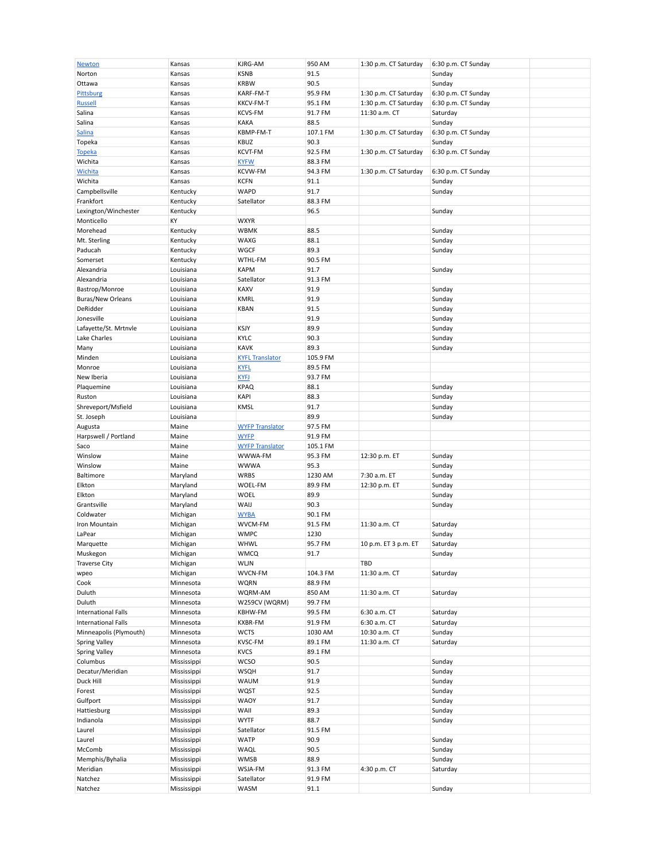| <b>Newton</b>              | Kansas      | KJRG-AM                | 950 AM   | 1:30 p.m. CT Saturday | 6:30 p.m. CT Sunday |  |
|----------------------------|-------------|------------------------|----------|-----------------------|---------------------|--|
| Norton                     | Kansas      | <b>KSNB</b>            | 91.5     |                       | Sunday              |  |
| Ottawa                     | Kansas      | <b>KRBW</b>            | 90.5     |                       | Sunday              |  |
| <b>Pittsburg</b>           | Kansas      | KARF-FM-T              | 95.9 FM  | 1:30 p.m. CT Saturday | 6:30 p.m. CT Sunday |  |
|                            |             |                        |          |                       |                     |  |
| <b>Russell</b>             | Kansas      | KKCV-FM-T              | 95.1 FM  | 1:30 p.m. CT Saturday | 6:30 p.m. CT Sunday |  |
| Salina                     | Kansas      | <b>KCVS-FM</b>         | 91.7 FM  | 11:30 a.m. CT         | Saturday            |  |
| Salina                     | Kansas      | <b>KAKA</b>            | 88.5     |                       | Sunday              |  |
| <b>Salina</b>              | Kansas      | KBMP-FM-T              | 107.1 FM | 1:30 p.m. CT Saturday | 6:30 p.m. CT Sunday |  |
| Topeka                     | Kansas      | <b>KBUZ</b>            | 90.3     |                       | Sunday              |  |
| <b>Topeka</b>              | Kansas      | <b>KCVT-FM</b>         | 92.5 FM  | 1:30 p.m. CT Saturday | 6:30 p.m. CT Sunday |  |
|                            |             |                        |          |                       |                     |  |
| Wichita                    | Kansas      | <b>KYFW</b>            | 88.3 FM  |                       |                     |  |
| <b>Wichita</b>             | Kansas      | <b>KCVW-FM</b>         | 94.3 FM  | 1:30 p.m. CT Saturday | 6:30 p.m. CT Sunday |  |
| Wichita                    | Kansas      | <b>KCFN</b>            | 91.1     |                       | Sunday              |  |
| Campbellsville             | Kentucky    | WAPD                   | 91.7     |                       | Sunday              |  |
| Frankfort                  | Kentucky    | Satellator             | 88.3 FM  |                       |                     |  |
|                            |             |                        |          |                       |                     |  |
| Lexington/Winchester       | Kentucky    |                        | 96.5     |                       | Sunday              |  |
| Monticello                 | КY          | <b>WXYR</b>            |          |                       |                     |  |
| Morehead                   | Kentucky    | <b>WBMK</b>            | 88.5     |                       | Sunday              |  |
| Mt. Sterling               | Kentucky    | WAXG                   | 88.1     |                       | Sunday              |  |
| Paducah                    | Kentucky    | WGCF                   | 89.3     |                       | Sunday              |  |
| Somerset                   | Kentucky    | WTHL-FM                | 90.5 FM  |                       |                     |  |
|                            |             |                        |          |                       |                     |  |
| Alexandria                 | Louisiana   | <b>KAPM</b>            | 91.7     |                       | Sunday              |  |
| Alexandria                 | Louisiana   | Satellator             | 91.3 FM  |                       |                     |  |
| Bastrop/Monroe             | Louisiana   | KAXV                   | 91.9     |                       | Sunday              |  |
| Buras/New Orleans          | Louisiana   | <b>KMRL</b>            | 91.9     |                       | Sunday              |  |
| DeRidder                   | Louisiana   | <b>KBAN</b>            | 91.5     |                       | Sunday              |  |
| Jonesville                 | Louisiana   |                        | 91.9     |                       | Sunday              |  |
|                            |             |                        |          |                       |                     |  |
| Lafayette/St. Mrtnvle      | Louisiana   | KSJY                   | 89.9     |                       | Sunday              |  |
| Lake Charles               | Louisiana   | <b>KYLC</b>            | 90.3     |                       | Sunday              |  |
| Many                       | Louisiana   | <b>KAVK</b>            | 89.3     |                       | Sunday              |  |
| Minden                     | Louisiana   | <b>KYFL Translator</b> | 105.9 FM |                       |                     |  |
| Monroe                     | Louisiana   | <b>KYFL</b>            | 89.5 FM  |                       |                     |  |
|                            |             |                        |          |                       |                     |  |
| New Iberia                 | Louisiana   | <b>KYFJ</b>            | 93.7 FM  |                       |                     |  |
| Plaquemine                 | Louisiana   | <b>KPAQ</b>            | 88.1     |                       | Sunday              |  |
| Ruston                     | Louisiana   | <b>KAPI</b>            | 88.3     |                       | Sunday              |  |
| Shreveport/Msfield         | Louisiana   | KMSL                   | 91.7     |                       | Sunday              |  |
| St. Joseph                 | Louisiana   |                        | 89.9     |                       | Sunday              |  |
|                            |             |                        | 97.5 FM  |                       |                     |  |
| Augusta                    | Maine       | <b>WYFP Translator</b> |          |                       |                     |  |
| Harpswell / Portland       | Maine       | <b>WYFP</b>            | 91.9 FM  |                       |                     |  |
| Saco                       | Maine       | <b>WYFP Translator</b> | 105.1 FM |                       |                     |  |
| Winslow                    | Maine       | WWWA-FM                | 95.3 FM  | 12:30 p.m. ET         | Sunday              |  |
| Winslow                    | Maine       | <b>WWWA</b>            | 95.3     |                       | Sunday              |  |
| Baltimore                  | Maryland    | <b>WRBS</b>            | 1230 AM  | 7:30 a.m. ET          | Sunday              |  |
|                            |             |                        |          |                       |                     |  |
| Elkton                     | Maryland    | WOEL-FM                | 89.9 FM  | 12:30 p.m. ET         | Sunday              |  |
| Elkton                     | Maryland    | <b>WOEL</b>            | 89.9     |                       | Sunday              |  |
| Grantsville                | Maryland    | WAIJ                   | 90.3     |                       | Sunday              |  |
| Coldwater                  | Michigan    | <b>WYBA</b>            | 90.1 FM  |                       |                     |  |
| Iron Mountain              | Michigan    | WVCM-FM                | 91.5 FM  | 11:30 a.m. CT         | Saturday            |  |
| LaPear                     | Michigan    | <b>WMPC</b>            | 1230     |                       | Sunday              |  |
|                            |             |                        |          |                       |                     |  |
| Marquette                  | Michigan    | WHWL                   | 95.7 FM  | 10 p.m. ET 3 p.m. ET  | Saturday            |  |
| Muskegon                   | Michigan    | <b>WMCQ</b>            | 91.7     |                       | Sunday              |  |
| <b>Traverse City</b>       | Michigan    | WLJN                   |          | TBD                   |                     |  |
| wpeo                       | Michigan    | WVCN-FM                | 104.3 FM | 11:30 a.m. CT         | Saturday            |  |
| Cook                       | Minnesota   | <b>WQRN</b>            | 88.9 FM  |                       |                     |  |
| Duluth                     | Minnesota   | WQRM-AM                | 850 AM   | 11:30 a.m. CT         | Saturday            |  |
|                            |             |                        |          |                       |                     |  |
| Duluth                     | Minnesota   | W259CV (WQRM)          | 99.7 FM  |                       |                     |  |
| <b>International Falls</b> | Minnesota   | KBHW-FM                | 99.5 FM  | 6:30 a.m. CT          | Saturday            |  |
| <b>International Falls</b> | Minnesota   | KXBR-FM                | 91.9 FM  | 6:30 a.m. CT          | Saturday            |  |
| Minneapolis (Plymouth)     | Minnesota   | <b>WCTS</b>            | 1030 AM  | 10:30 a.m. CT         | Sunday              |  |
| <b>Spring Valley</b>       | Minnesota   | KVSC-FM                | 89.1 FM  | 11:30 a.m. CT         | Saturday            |  |
|                            |             |                        | 89.1 FM  |                       |                     |  |
| <b>Spring Valley</b>       | Minnesota   | <b>KVCS</b>            |          |                       |                     |  |
| Columbus                   | Mississippi | <b>WCSO</b>            | 90.5     |                       | Sunday              |  |
| Decatur/Meridian           | Mississippi | WSQH                   | 91.7     |                       | Sunday              |  |
| Duck Hill                  | Mississippi | <b>WAUM</b>            | 91.9     |                       | Sunday              |  |
| Forest                     | Mississippi | WQST                   | 92.5     |                       | Sunday              |  |
| Gulfport                   | Mississippi | <b>WAOY</b>            | 91.7     |                       | Sunday              |  |
|                            |             |                        |          |                       |                     |  |
| Hattiesburg                | Mississippi | WAII                   | 89.3     |                       | Sunday              |  |
| Indianola                  | Mississippi | <b>WYTF</b>            | 88.7     |                       | Sunday              |  |
| Laurel                     | Mississippi | Satellator             | 91.5 FM  |                       |                     |  |
| Laurel                     | Mississippi | <b>WATP</b>            | 90.9     |                       | Sunday              |  |
| McComb                     | Mississippi | WAQL                   | 90.5     |                       | Sunday              |  |
| Memphis/Byhalia            | Mississippi | <b>WMSB</b>            | 88.9     |                       | Sunday              |  |
|                            |             |                        |          |                       |                     |  |
| Meridian                   | Mississippi | WSJA-FM                | 91.3 FM  | 4:30 p.m. CT          | Saturday            |  |
| Natchez                    | Mississippi | Satellator             | 91.9 FM  |                       |                     |  |
| Natchez                    | Mississippi | WASM                   | 91.1     |                       | Sunday              |  |
|                            |             |                        |          |                       |                     |  |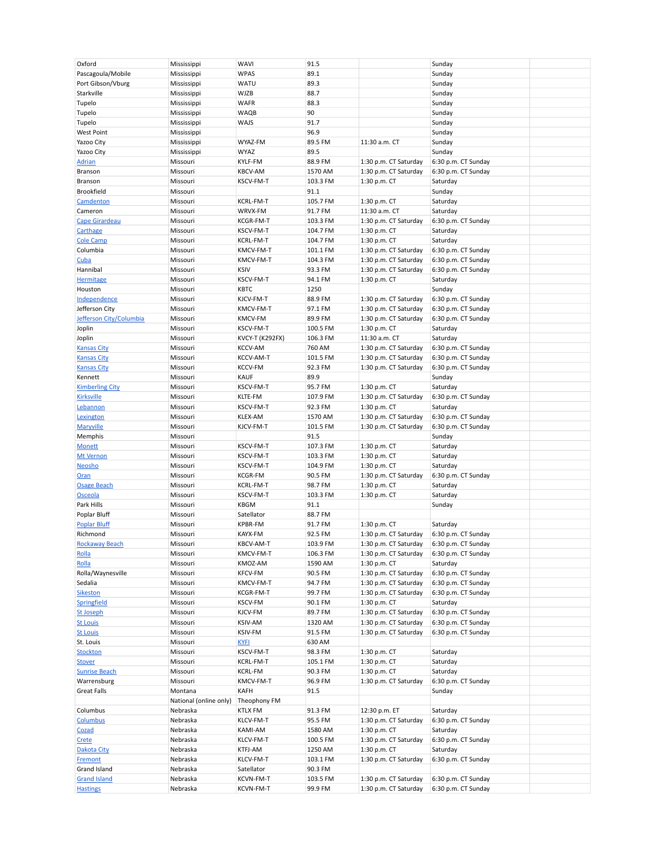| Oxford                                 | Mississippi            | <b>WAVI</b>            | 91.5                |                                                | Sunday                                     |
|----------------------------------------|------------------------|------------------------|---------------------|------------------------------------------------|--------------------------------------------|
| Pascagoula/Mobile                      | Mississippi            | <b>WPAS</b>            | 89.1                |                                                | Sunday                                     |
| Port Gibson/Vburg                      | Mississippi            | WATU                   | 89.3                |                                                | Sunday                                     |
| Starkville                             |                        | <b>WJZB</b>            | 88.7                |                                                |                                            |
|                                        | Mississippi            |                        |                     |                                                | Sunday                                     |
| Tupelo                                 | Mississippi            | <b>WAFR</b>            | 88.3                |                                                | Sunday                                     |
| Tupelo                                 | Mississippi            | WAQB                   | 90                  |                                                | Sunday                                     |
| Tupelo                                 | Mississippi            | WAJS                   | 91.7                |                                                | Sunday                                     |
| <b>West Point</b>                      | Mississippi            |                        | 96.9                |                                                | Sunday                                     |
| Yazoo City                             | Mississippi            | WYAZ-FM                | 89.5 FM             | 11:30 a.m. CT                                  | Sunday                                     |
|                                        |                        |                        |                     |                                                |                                            |
| Yazoo City                             | Mississippi            | <b>WYAZ</b>            | 89.5                |                                                | Sunday                                     |
| <b>Adrian</b>                          | Missouri               | KYLF-FM                | 88.9 FM             | 1:30 p.m. CT Saturday                          | 6:30 p.m. CT Sunday                        |
| Branson                                | Missouri               | <b>KBCV-AM</b>         | 1570 AM             | 1:30 p.m. CT Saturday                          | 6:30 p.m. CT Sunday                        |
| Branson                                | Missouri               | KSCV-FM-T              | 103.3 FM            | 1:30 p.m. CT                                   | Saturday                                   |
| <b>Brookfield</b>                      | Missouri               |                        | 91.1                |                                                | Sunday                                     |
|                                        |                        | KCRL-FM-T              |                     |                                                |                                            |
| Camdenton                              | Missouri               |                        | 105.7 FM            | 1:30 p.m. CT                                   | Saturday                                   |
| Cameron                                | Missouri               | WRVX-FM                | 91.7 FM             | 11:30 a.m. CT                                  | Saturday                                   |
| <b>Cape Girardeau</b>                  | Missouri               | KCGR-FM-T              | 103.3 FM            | 1:30 p.m. CT Saturday                          | 6:30 p.m. CT Sunday                        |
| Carthage                               | Missouri               | KSCV-FM-T              | 104.7 FM            | 1:30 p.m. CT                                   | Saturday                                   |
| <b>Cole Camp</b>                       | Missouri               | KCRL-FM-T              | 104.7 FM            | 1:30 p.m. CT                                   | Saturday                                   |
| Columbia                               | Missouri               | KMCV-FM-T              |                     |                                                |                                            |
|                                        |                        |                        | 101.1 FM            | 1:30 p.m. CT Saturday                          | 6:30 p.m. CT Sunday                        |
| Cuba                                   | Missouri               | KMCV-FM-T              | 104.3 FM            | 1:30 p.m. CT Saturday                          | 6:30 p.m. CT Sunday                        |
| Hannibal                               | Missouri               | <b>KSIV</b>            | 93.3 FM             | 1:30 p.m. CT Saturday                          | 6:30 p.m. CT Sunday                        |
| <b>Hermitage</b>                       | Missouri               | KSCV-FM-T              | 94.1 FM             | 1:30 p.m. CT                                   | Saturday                                   |
| Houston                                | Missouri               | <b>KBTC</b>            | 1250                |                                                | Sunday                                     |
| Independence                           | Missouri               | KJCV-FM-T              | 88.9 FM             |                                                |                                            |
|                                        |                        |                        |                     | 1:30 p.m. CT Saturday                          | 6:30 p.m. CT Sunday                        |
| Jefferson City                         | Missouri               | KMCV-FM-T              | 97.1 FM             | 1:30 p.m. CT Saturday                          | 6:30 p.m. CT Sunday                        |
| Jefferson City/Columbia                | Missouri               | <b>KMCV-FM</b>         | 89.9 FM             | 1:30 p.m. CT Saturday                          | 6:30 p.m. CT Sunday                        |
| Joplin                                 | Missouri               | KSCV-FM-T              | 100.5 FM            | 1:30 p.m. CT                                   | Saturday                                   |
| Joplin                                 | Missouri               | KVCY-T (K292FX)        | 106.3 FM            | 11:30 a.m. CT                                  | Saturday                                   |
|                                        | Missouri               | <b>KCCV-AM</b>         | 760 AM              | 1:30 p.m. CT Saturday                          | 6:30 p.m. CT Sunday                        |
| <b>Kansas City</b>                     |                        |                        |                     |                                                |                                            |
| <b>Kansas City</b>                     | Missouri               | KCCV-AM-T              | 101.5 FM            | 1:30 p.m. CT Saturday                          | 6:30 p.m. CT Sunday                        |
| <b>Kansas City</b>                     | Missouri               | <b>KCCV-FM</b>         | 92.3 FM             | 1:30 p.m. CT Saturday                          | 6:30 p.m. CT Sunday                        |
| Kennett                                | Missouri               | <b>KAUF</b>            | 89.9                |                                                | Sunday                                     |
| <b>Kimberling City</b>                 | Missouri               | KSCV-FM-T              | 95.7 FM             | 1:30 p.m. CT                                   | Saturday                                   |
| <b>Kirksville</b>                      | Missouri               | KLTE-FM                | 107.9 FM            | 1:30 p.m. CT Saturday                          | 6:30 p.m. CT Sunday                        |
|                                        |                        |                        |                     |                                                |                                            |
| Lebannon                               | Missouri               | KSCV-FM-T              | 92.3 FM             | 1:30 p.m. CT                                   | Saturday                                   |
| Lexington                              | Missouri               | KLEX-AM                | 1570 AM             | 1:30 p.m. CT Saturday                          | 6:30 p.m. CT Sunday                        |
| Maryville                              | Missouri               | KJCV-FM-T              | 101.5 FM            | 1:30 p.m. CT Saturday                          | 6:30 p.m. CT Sunday                        |
| Memphis                                | Missouri               |                        | 91.5                |                                                | Sunday                                     |
| <b>Monett</b>                          | Missouri               | KSCV-FM-T              | 107.3 FM            | 1:30 p.m. CT                                   | Saturday                                   |
|                                        |                        |                        |                     |                                                |                                            |
| <b>Mt Vernon</b>                       | Missouri               | KSCV-FM-T              | 103.3 FM            | 1:30 p.m. CT                                   | Saturday                                   |
| Neosho                                 | Missouri               | KSCV-FM-T              | 104.9 FM            | 1:30 p.m. CT                                   | Saturday                                   |
| <b>Oran</b>                            | Missouri               | <b>KCGR-FM</b>         | 90.5 FM             | 1:30 p.m. CT Saturday                          | 6:30 p.m. CT Sunday                        |
| <b>Osage Beach</b>                     | Missouri               | KCRL-FM-T              | 98.7 FM             | 1:30 p.m. CT                                   | Saturday                                   |
| Osceola                                | Missouri               | KSCV-FM-T              | 103.3 FM            | 1:30 p.m. CT                                   | Saturday                                   |
|                                        |                        |                        |                     |                                                |                                            |
| Park Hills                             | Missouri               | <b>KBGM</b>            | 91.1                |                                                | Sunday                                     |
| Poplar Bluff                           | Missouri               | Satellator             | 88.7 FM             |                                                |                                            |
| <b>Poplar Bluff</b>                    | Missouri               | <b>KPBR-FM</b>         | 91.7 FM             | 1:30 p.m. CT                                   | Saturday                                   |
| Richmond                               | Missouri               | KAYX-FM                | 92.5 FM             | 1:30 p.m. CT Saturday                          | 6:30 p.m. CT Sunday                        |
| <b>Rockaway Beach</b>                  | Missouri               | KBCV-AM-T              | 103.9 FM            | 1:30 p.m. CT Saturday                          | 6:30 p.m. CT Sunday                        |
|                                        |                        |                        |                     |                                                |                                            |
| <u>Rolla</u>                           | Missouri               | KMCV-FM-T              | 106.3 FM            | 1:30 p.m. CT Saturday                          | 6:30 p.m. CT Sunday                        |
| Rolla                                  | Missouri               | KMOZ-AM                | 1590 AM             | 1:30 p.m. CT                                   | Saturday                                   |
| Rolla/Waynesville                      | Missouri               | <b>KFCV-FM</b>         | 90.5 FM             | 1:30 p.m. CT Saturday                          | 6:30 p.m. CT Sunday                        |
| Sedalia                                | Missouri               | KMCV-FM-T              | 94.7 FM             | 1:30 p.m. CT Saturday                          | 6:30 p.m. CT Sunday                        |
| <b>Sikeston</b>                        | Missouri               | KCGR-FM-T              | 99.7 FM             | 1:30 p.m. CT Saturday                          | 6:30 p.m. CT Sunday                        |
| Springfield                            | Missouri               | KSCV-FM                | 90.1 FM             | 1:30 p.m. CT                                   | Saturday                                   |
| <b>St Joseph</b>                       | Missouri               | KJCV-FM                | 89.7 FM             | 1:30 p.m. CT Saturday                          | 6:30 p.m. CT Sunday                        |
|                                        |                        |                        |                     |                                                |                                            |
| <b>St Louis</b>                        | Missouri               | <b>KSIV-AM</b>         | 1320 AM             | 1:30 p.m. CT Saturday                          | 6:30 p.m. CT Sunday                        |
| <b>St Louis</b>                        | Missouri               | KSIV-FM                | 91.5 FM             | 1:30 p.m. CT Saturday                          | 6:30 p.m. CT Sunday                        |
| St. Louis                              | Missouri               | <b>KYFI</b>            | 630 AM              |                                                |                                            |
| <b>Stockton</b>                        | Missouri               | KSCV-FM-T              | 98.3 FM             | 1:30 p.m. CT                                   | Saturday                                   |
| <b>Stover</b>                          | Missouri               | KCRL-FM-T              | 105.1 FM            | 1:30 p.m. CT                                   | Saturday                                   |
| <b>Sunrise Beach</b>                   | Missouri               |                        |                     |                                                |                                            |
|                                        |                        | <b>KCRL-FM</b>         | 90.3 FM             | 1:30 p.m. CT                                   | Saturday                                   |
| Warrensburg                            | Missouri               | KMCV-FM-T              | 96.9 FM             | 1:30 p.m. CT Saturday                          | 6:30 p.m. CT Sunday                        |
| Great Falls                            | Montana                | KAFH                   | 91.5                |                                                | Sunday                                     |
|                                        | National (online only) | Theophony FM           |                     |                                                |                                            |
| Columbus                               | Nebraska               | <b>KTLX FM</b>         | 91.3 FM             | 12:30 p.m. ET                                  | Saturday                                   |
| Columbus                               | Nebraska               | KLCV-FM-T              | 95.5 FM             | 1:30 p.m. CT Saturday                          | 6:30 p.m. CT Sunday                        |
|                                        |                        |                        |                     |                                                |                                            |
| Cozad                                  | Nebraska               | KAMI-AM                | 1580 AM             | 1:30 p.m. CT                                   | Saturday                                   |
| Crete                                  | Nebraska               | KLCV-FM-T              | 100.5 FM            | 1:30 p.m. CT Saturday                          | 6:30 p.m. CT Sunday                        |
| Dakota City                            | Nebraska               | KTFJ-AM                | 1250 AM             | 1:30 p.m. CT                                   | Saturday                                   |
| <b>Fremont</b>                         |                        |                        |                     |                                                |                                            |
|                                        |                        |                        |                     |                                                |                                            |
|                                        | Nebraska               | KLCV-FM-T              | 103.1 FM            | 1:30 p.m. CT Saturday                          | 6:30 p.m. CT Sunday                        |
| Grand Island                           | Nebraska               | Satellator             | 90.3 FM             |                                                |                                            |
| <b>Grand Island</b><br><b>Hastings</b> | Nebraska<br>Nebraska   | KCVN-FM-T<br>KCVN-FM-T | 103.5 FM<br>99.9 FM | 1:30 p.m. CT Saturday<br>1:30 p.m. CT Saturday | 6:30 p.m. CT Sunday<br>6:30 p.m. CT Sunday |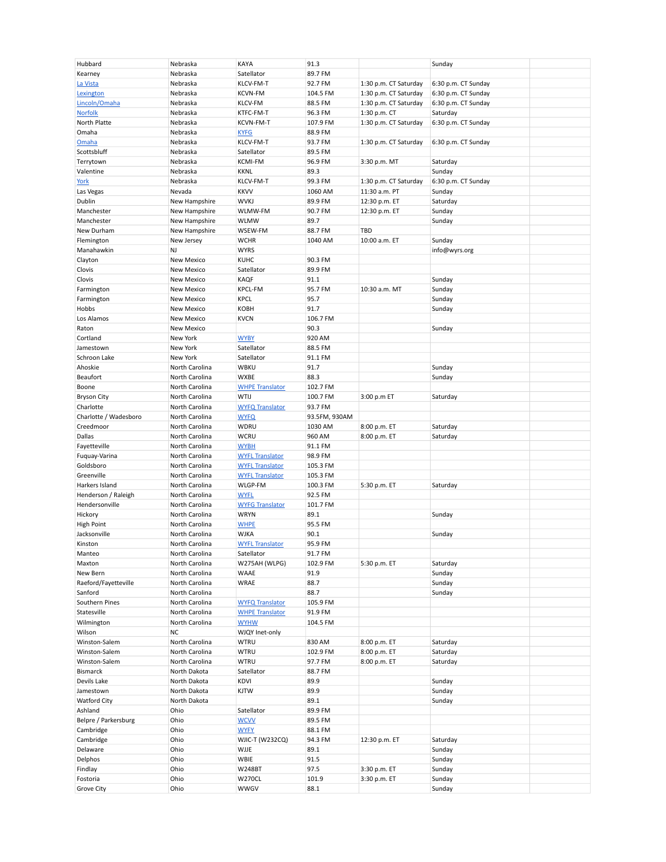| Hubbard               | Nebraska          | <b>KAYA</b>            | 91.3          |                       | Sunday              |
|-----------------------|-------------------|------------------------|---------------|-----------------------|---------------------|
| Kearney               | Nebraska          | Satellator             | 89.7 FM       |                       |                     |
| La Vista              | Nebraska          | KLCV-FM-T              | 92.7 FM       | 1:30 p.m. CT Saturday | 6:30 p.m. CT Sunday |
|                       |                   |                        |               |                       |                     |
| Lexington             | Nebraska          | <b>KCVN-FM</b>         | 104.5 FM      | 1:30 p.m. CT Saturday | 6:30 p.m. CT Sunday |
| Lincoln/Omaha         | Nebraska          | <b>KLCV-FM</b>         | 88.5 FM       | 1:30 p.m. CT Saturday | 6:30 p.m. CT Sunday |
|                       |                   |                        |               |                       |                     |
| <b>Norfolk</b>        | Nebraska          | KTFC-FM-T              | 96.3 FM       | 1:30 p.m. CT          | Saturday            |
| North Platte          | Nebraska          | KCVN-FM-T              | 107.9 FM      | 1:30 p.m. CT Saturday | 6:30 p.m. CT Sunday |
| Omaha                 | Nebraska          | <b>KYFG</b>            | 88.9 FM       |                       |                     |
|                       |                   |                        |               |                       |                     |
| Omaha                 | Nebraska          | KLCV-FM-T              | 93.7 FM       | 1:30 p.m. CT Saturday | 6:30 p.m. CT Sunday |
| Scottsbluff           | Nebraska          | Satellator             | 89.5 FM       |                       |                     |
| Terrytown             | Nebraska          | <b>KCMI-FM</b>         | 96.9 FM       | 3:30 p.m. MT          | Saturday            |
|                       |                   |                        |               |                       |                     |
| Valentine             | Nebraska          | <b>KKNL</b>            | 89.3          |                       | Sunday              |
| York                  | Nebraska          | KLCV-FM-T              | 99.3 FM       | 1:30 p.m. CT Saturday | 6:30 p.m. CT Sunday |
|                       | Nevada            | <b>KKVV</b>            | 1060 AM       |                       | Sunday              |
| Las Vegas             |                   |                        |               | 11:30 a.m. PT         |                     |
| Dublin                | New Hampshire     | <b>WVKJ</b>            | 89.9 FM       | 12:30 p.m. ET         | Saturday            |
| Manchester            | New Hampshire     | WLMW-FM                | 90.7 FM       | 12:30 p.m. ET         | Sunday              |
|                       |                   |                        |               |                       |                     |
| Manchester            | New Hampshire     | <b>WLMW</b>            | 89.7          |                       | Sunday              |
| New Durham            | New Hampshire     | WSEW-FM                | 88.7 FM       | TBD                   |                     |
| Flemington            | New Jersey        | <b>WCHR</b>            | 1040 AM       | 10:00 a.m. ET         | Sunday              |
|                       |                   |                        |               |                       |                     |
| Manahawkin            | NJ                | <b>WYRS</b>            |               |                       | info@wyrs.org       |
| Clayton               | <b>New Mexico</b> | <b>KUHC</b>            | 90.3 FM       |                       |                     |
| Clovis                | New Mexico        | Satellator             | 89.9 FM       |                       |                     |
|                       |                   |                        |               |                       |                     |
| Clovis                | <b>New Mexico</b> | <b>KAQF</b>            | 91.1          |                       | Sunday              |
| Farmington            | <b>New Mexico</b> | <b>KPCL-FM</b>         | 95.7 FM       | 10:30 a.m. MT         | Sunday              |
| Farmington            | New Mexico        | <b>KPCL</b>            | 95.7          |                       | Sunday              |
|                       |                   |                        |               |                       |                     |
| Hobbs                 | New Mexico        | KOBH                   | 91.7          |                       | Sunday              |
| Los Alamos            | <b>New Mexico</b> | <b>KVCN</b>            | 106.7 FM      |                       |                     |
| Raton                 |                   |                        |               |                       |                     |
|                       | New Mexico        |                        | 90.3          |                       | Sunday              |
| Cortland              | New York          | <b>WYBY</b>            | 920 AM        |                       |                     |
| Jamestown             | New York          | Satellator             | 88.5 FM       |                       |                     |
| Schroon Lake          |                   |                        |               |                       |                     |
|                       | New York          | Satellator             | 91.1 FM       |                       |                     |
| Ahoskie               | North Carolina    | <b>WBKU</b>            | 91.7          |                       | Sunday              |
| Beaufort              | North Carolina    | WXBE                   | 88.3          |                       | Sunday              |
| Boone                 | North Carolina    | <b>WHPE Translator</b> |               |                       |                     |
|                       |                   |                        | 102.7 FM      |                       |                     |
| <b>Bryson City</b>    | North Carolina    | WTIJ                   | 100.7 FM      | 3:00 p.m ET           | Saturday            |
| Charlotte             | North Carolina    | <b>WYFQ Translator</b> | 93.7 FM       |                       |                     |
| Charlotte / Wadesboro | North Carolina    |                        | 93.5FM, 930AM |                       |                     |
|                       |                   | <b>WYFQ</b>            |               |                       |                     |
| Creedmoor             | North Carolina    | <b>WDRU</b>            | 1030 AM       | 8:00 p.m. ET          | Saturday            |
| Dallas                | North Carolina    | <b>WCRU</b>            | 960 AM        | 8:00 p.m. ET          | Saturday            |
| Fayetteville          | North Carolina    | <b>WYBH</b>            | 91.1 FM       |                       |                     |
|                       |                   |                        |               |                       |                     |
| Fuquay-Varina         | North Carolina    | <b>WYFL Translator</b> | 98.9 FM       |                       |                     |
| Goldsboro             | North Carolina    | <b>WYFL Translator</b> | 105.3 FM      |                       |                     |
| Greenville            | North Carolina    | <b>WYFL Translator</b> |               |                       |                     |
|                       |                   |                        | 105.3 FM      |                       |                     |
| Harkers Island        | North Carolina    | WLGP-FM                | 100.3 FM      | 5:30 p.m. ET          | Saturday            |
| Henderson / Raleigh   | North Carolina    | <b>WYFL</b>            | 92.5 FM       |                       |                     |
|                       |                   |                        |               |                       |                     |
| Hendersonville        | North Carolina    | <b>WYFG Translator</b> | 101.7 FM      |                       |                     |
| Hickory               | North Carolina    | <b>WRYN</b>            | 89.1          |                       | Sunday              |
| <b>High Point</b>     | North Carolina    | <b>WHPE</b>            | 95.5 FM       |                       |                     |
|                       |                   |                        |               |                       |                     |
| Jacksonville          | North Carolina    | <b>WJKA</b>            | 90.1          |                       | Sunday              |
| Kinston               | North Carolina    | <b>WYFL Translator</b> | 95.9 FM       |                       |                     |
| Manteo                | North Carolina    | Satellator             | 91.7 FM       |                       |                     |
|                       |                   |                        |               |                       |                     |
| Maxton                | North Carolina    | W275AH (WLPG)          | 102.9 FM      | 5:30 p.m. ET          | Saturday            |
| New Bern              | North Carolina    | <b>WAAE</b>            | 91.9          |                       | Sunday              |
| Raeford/Fayetteville  | North Carolina    | WRAE                   | 88.7          |                       | Sunday              |
|                       |                   |                        |               |                       |                     |
| Sanford               | North Carolina    |                        | 88.7          |                       | Sunday              |
| Southern Pines        | North Carolina    | <b>WYFQ Translator</b> | 105.9 FM      |                       |                     |
| Statesville           | North Carolina    | <b>WHPE Translator</b> | 91.9 FM       |                       |                     |
|                       |                   |                        |               |                       |                     |
| Wilmington            | North Carolina    | <b>WYHW</b>            | 104.5 FM      |                       |                     |
| Wilson                | <b>NC</b>         | WJQY Inet-only         |               |                       |                     |
| Winston-Salem         | North Carolina    | <b>WTRU</b>            | 830 AM        | 8:00 p.m. ET          | Saturday            |
|                       |                   |                        |               |                       |                     |
| Winston-Salem         | North Carolina    | <b>WTRU</b>            | 102.9 FM      | 8:00 p.m. ET          | Saturday            |
| Winston-Salem         | North Carolina    | <b>WTRU</b>            | 97.7 FM       | 8:00 p.m. ET          | Saturday            |
| <b>Bismarck</b>       | North Dakota      | Satellator             | 88.7 FM       |                       |                     |
|                       |                   | KDVI                   |               |                       |                     |
| Devils Lake           | North Dakota      |                        | 89.9          |                       | Sunday              |
| Jamestown             | North Dakota      | <b>KJTW</b>            | 89.9          |                       | Sunday              |
| Watford City          | North Dakota      |                        | 89.1          |                       | Sunday              |
|                       |                   |                        |               |                       |                     |
| Ashland               | Ohio              | Satellator             | 89.9 FM       |                       |                     |
| Belpre / Parkersburg  | Ohio              | <b>WCVV</b>            | 89.5 FM       |                       |                     |
| Cambridge             | Ohio              | <b>WYFY</b>            | 88.1 FM       |                       |                     |
|                       | Ohio              | WJIC-T (W232CQ)        |               |                       |                     |
| Cambridge             |                   |                        | 94.3 FM       | 12:30 p.m. ET         | Saturday            |
| Delaware              | Ohio              | WJJE                   | 89.1          |                       | Sunday              |
| Delphos               |                   |                        |               |                       |                     |
|                       | Ohio              | WBIE                   | 91.5          |                       | Sunday              |
|                       |                   |                        |               |                       |                     |
| Findlay               | Ohio              | <b>W248BT</b>          | 97.5          | 3:30 p.m. ET          | Sunday              |
| Fostoria              | Ohio              | <b>W270CL</b>          | 101.9         | 3:30 p.m. ET          | Sunday              |
| Grove City            | Ohio              | <b>WWGV</b>            | 88.1          |                       | Sunday              |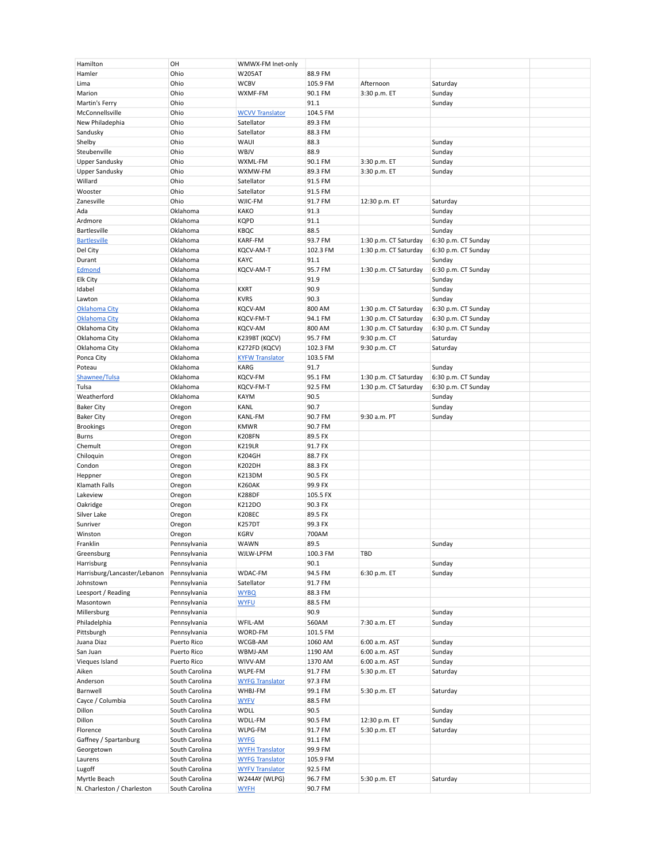| Hamilton                     | OH                           | WMWX-FM Inet-only      |          |                       |                     |  |
|------------------------------|------------------------------|------------------------|----------|-----------------------|---------------------|--|
| Hamler                       | Ohio                         | <b>W205AT</b>          | 88.9 FM  |                       |                     |  |
| Lima                         | Ohio                         | <b>WCBV</b>            | 105.9 FM | Afternoon             | Saturday            |  |
| Marion                       | Ohio                         | WXMF-FM                | 90.1 FM  | 3:30 p.m. ET          | Sunday              |  |
| Martin's Ferry               | Ohio                         |                        | 91.1     |                       | Sunday              |  |
| McConnellsville              | Ohio                         | <b>WCVV Translator</b> | 104.5 FM |                       |                     |  |
| New Philadephia              | Ohio                         | Satellator             | 89.3 FM  |                       |                     |  |
| Sandusky                     | Ohio                         | Satellator             | 88.3 FM  |                       |                     |  |
|                              |                              |                        |          |                       |                     |  |
| Shelby                       | Ohio                         | WAUI                   | 88.3     |                       | Sunday              |  |
| Steubenville                 | Ohio                         | WBJV                   | 88.9     |                       | Sunday              |  |
| Upper Sandusky               | Ohio                         | WXML-FM                | 90.1 FM  | 3:30 p.m. ET          | Sunday              |  |
| <b>Upper Sandusky</b>        | Ohio                         | WXMW-FM                | 89.3 FM  | 3:30 p.m. ET          | Sunday              |  |
| Willard                      | Ohio                         | Satellator             | 91.5 FM  |                       |                     |  |
| Wooster                      | Ohio                         | Satellator             | 91.5 FM  |                       |                     |  |
| Zanesville                   | Ohio                         | WJIC-FM                | 91.7 FM  | 12:30 p.m. ET         | Saturday            |  |
| Ada                          | Oklahoma                     | <b>KAKO</b>            | 91.3     |                       | Sunday              |  |
| Ardmore                      | Oklahoma                     | <b>KQPD</b>            | 91.1     |                       | Sunday              |  |
| <b>Bartlesville</b>          | Oklahoma                     | KBQC                   | 88.5     |                       | Sunday              |  |
| <b>Bartlesville</b>          | Oklahoma                     | <b>KARF-FM</b>         | 93.7 FM  | 1:30 p.m. CT Saturday | 6:30 p.m. CT Sunday |  |
| Del City                     | Oklahoma                     | KQCV-AM-T              | 102.3 FM | 1:30 p.m. CT Saturday | 6:30 p.m. CT Sunday |  |
| Durant                       | Oklahoma                     | KAYC                   | 91.1     |                       | Sunday              |  |
| Edmond                       | Oklahoma                     | KQCV-AM-T              | 95.7 FM  | 1:30 p.m. CT Saturday | 6:30 p.m. CT Sunday |  |
| Elk City                     | Oklahoma                     |                        | 91.9     |                       | Sunday              |  |
| Idabel                       | Oklahoma                     | <b>KXRT</b>            | 90.9     |                       | Sunday              |  |
|                              |                              |                        |          |                       |                     |  |
| Lawton                       | Oklahoma                     | <b>KVRS</b>            | 90.3     |                       | Sunday              |  |
| Oklahoma City                | Oklahoma                     | <b>KQCV-AM</b>         | 800 AM   | 1:30 p.m. CT Saturday | 6:30 p.m. CT Sunday |  |
| Oklahoma City                | Oklahoma                     | KQCV-FM-T              | 94.1 FM  | 1:30 p.m. CT Saturday | 6:30 p.m. CT Sunday |  |
| Oklahoma City                | Oklahoma                     | <b>KQCV-AM</b>         | 800 AM   | 1:30 p.m. CT Saturday | 6:30 p.m. CT Sunday |  |
| Oklahoma City                | Oklahoma                     | K239BT (KQCV)          | 95.7 FM  | 9:30 p.m. CT          | Saturday            |  |
| Oklahoma City                | Oklahoma                     | K272FD (KQCV)          | 102.3 FM | 9:30 p.m. CT          | Saturday            |  |
| Ponca City                   | Oklahoma                     | <b>KYFW Translator</b> | 103.5 FM |                       |                     |  |
| Poteau                       | Oklahoma                     | <b>KARG</b>            | 91.7     |                       | Sunday              |  |
| Shawnee/Tulsa                | Oklahoma                     | <b>KQCV-FM</b>         | 95.1 FM  | 1:30 p.m. CT Saturday | 6:30 p.m. CT Sunday |  |
| Tulsa                        | Oklahoma                     | KQCV-FM-T              | 92.5 FM  | 1:30 p.m. CT Saturday | 6:30 p.m. CT Sunday |  |
| Weatherford                  | Oklahoma                     | <b>KAYM</b>            | 90.5     |                       | Sunday              |  |
| <b>Baker City</b>            | Oregon                       | KANL                   | 90.7     |                       | Sunday              |  |
| <b>Baker City</b>            | Oregon                       | <b>KANL-FM</b>         | 90.7 FM  | 9:30 a.m. PT          | Sunday              |  |
| <b>Brookings</b>             | Oregon                       | <b>KMWR</b>            | 90.7 FM  |                       |                     |  |
| Burns                        | Oregon                       | <b>K208FN</b>          | 89.5 FX  |                       |                     |  |
|                              |                              | <b>K219LR</b>          | 91.7 FX  |                       |                     |  |
| Chemult                      | Oregon                       |                        |          |                       |                     |  |
| Chiloquin                    | Oregon                       | <b>K204GH</b>          | 88.7 FX  |                       |                     |  |
| Condon                       | Oregon                       | <b>K202DH</b>          | 88.3 FX  |                       |                     |  |
| Heppner                      | Oregon                       | <b>K213DM</b>          | 90.5 FX  |                       |                     |  |
| Klamath Falls                | Oregon                       | <b>K260AK</b>          | 99.9 FX  |                       |                     |  |
| Lakeview                     | Oregon                       | <b>K288DF</b>          | 105.5 FX |                       |                     |  |
| Oakridge                     | Oregon                       | K212DO                 | 90.3 FX  |                       |                     |  |
| Silver Lake                  | Oregon                       | <b>K208EC</b>          | 89.5 FX  |                       |                     |  |
| Sunriver                     | Oregon                       | <b>K257DT</b>          | 99.3 FX  |                       |                     |  |
| Winston                      | Oregon                       | <b>KGRV</b>            | 700AM    |                       |                     |  |
| Franklin                     | Pennsylvania                 | WAWN                   | 89.5     |                       | Sunday              |  |
| Greensburg                   | Pennsylvania                 | WJLW-LPFM              | 100.3 FM | TBD                   |                     |  |
| Harrisburg                   | Pennsylvania                 |                        | 90.1     |                       | Sunday              |  |
| Harrisburg/Lancaster/Lebanon | Pennsylvania                 | WDAC-FM                | 94.5 FM  | 6:30 p.m. ET          | Sunday              |  |
| Johnstown                    | Pennsylvania                 | Satellator             | 91.7 FM  |                       |                     |  |
| Leesport / Reading           | Pennsylvania                 | <b>WYBQ</b>            | 88.3 FM  |                       |                     |  |
| Masontown                    |                              |                        | 88.5 FM  |                       |                     |  |
| Millersburg                  | Pennsylvania<br>Pennsylvania | <b>WYFU</b>            | 90.9     |                       | Sunday              |  |
|                              |                              |                        |          |                       |                     |  |
| Philadelphia                 | Pennsylvania                 | WFIL-AM                | 560AM    | 7:30 a.m. ET          | Sunday              |  |
| Pittsburgh                   | Pennsylvania                 | WORD-FM                | 101.5 FM |                       |                     |  |
| Juana Diaz                   | Puerto Rico                  | WCGB-AM                | 1060 AM  | 6:00 a.m. AST         | Sunday              |  |
| San Juan                     | Puerto Rico                  | WBMJ-AM                | 1190 AM  | 6:00 a.m. AST         | Sunday              |  |
| Vieques Island               | Puerto Rico                  | WIVV-AM                | 1370 AM  | 6:00 a.m. AST         | Sunday              |  |
| Aiken                        | South Carolina               | WLPE-FM                | 91.7 FM  | 5:30 p.m. ET          | Saturday            |  |
| Anderson                     | South Carolina               | <b>WYFG Translator</b> | 97.3 FM  |                       |                     |  |
| Barnwell                     | South Carolina               | WHBJ-FM                | 99.1 FM  | 5:30 p.m. ET          | Saturday            |  |
| Cayce / Columbia             | South Carolina               | <b>WYFV</b>            | 88.5 FM  |                       |                     |  |
| Dillon                       | South Carolina               | <b>WDLL</b>            | 90.5     |                       | Sunday              |  |
| Dillon                       | South Carolina               | WDLL-FM                | 90.5 FM  | 12:30 p.m. ET         | Sunday              |  |
| Florence                     | South Carolina               | WLPG-FM                | 91.7 FM  | 5:30 p.m. ET          | Saturday            |  |
| Gaffney / Spartanburg        | South Carolina               | <b>WYFG</b>            | 91.1 FM  |                       |                     |  |
| Georgetown                   | South Carolina               | <b>WYFH Translator</b> | 99.9 FM  |                       |                     |  |
| Laurens                      | South Carolina               | <b>WYFG Translator</b> | 105.9 FM |                       |                     |  |
| Lugoff                       | South Carolina               | <b>WYFV Translator</b> | 92.5 FM  |                       |                     |  |
| Myrtle Beach                 |                              |                        |          |                       |                     |  |
|                              | South Carolina               | W244AY (WLPG)          | 96.7 FM  | 5:30 p.m. ET          | Saturday            |  |
| N. Charleston / Charleston   | South Carolina               | <b>WYFH</b>            | 90.7 FM  |                       |                     |  |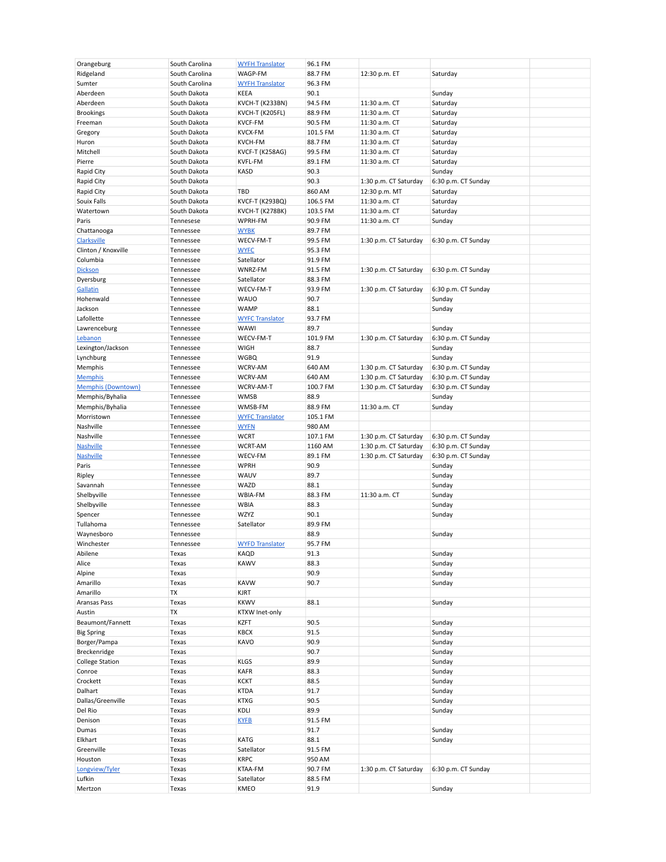| Orangeburg                | South Carolina | <b>WYFH Translator</b> | 96.1 FM  |                       |                     |  |
|---------------------------|----------------|------------------------|----------|-----------------------|---------------------|--|
| Ridgeland                 | South Carolina | WAGP-FM                | 88.7 FM  | 12:30 p.m. ET         | Saturday            |  |
| Sumter                    | South Carolina | <b>WYFH Translator</b> | 96.3 FM  |                       |                     |  |
|                           |                |                        |          |                       |                     |  |
| Aberdeen                  | South Dakota   | KEEA                   | 90.1     |                       | Sunday              |  |
| Aberdeen                  | South Dakota   | KVCH-T (K233BN)        | 94.5 FM  | 11:30 a.m. CT         | Saturday            |  |
| <b>Brookings</b>          | South Dakota   | KVCH-T (K205FL)        | 88.9 FM  | 11:30 a.m. CT         | Saturday            |  |
| Freeman                   | South Dakota   | <b>KVCF-FM</b>         | 90.5 FM  | 11:30 a.m. CT         | Saturday            |  |
| Gregory                   | South Dakota   | <b>KVCX-FM</b>         | 101.5 FM | 11:30 a.m. CT         | Saturday            |  |
| Huron                     | South Dakota   | <b>KVCH-FM</b>         | 88.7 FM  | 11:30 a.m. CT         | Saturday            |  |
| Mitchell                  | South Dakota   | KVCF-T (K258AG)        | 99.5 FM  | 11:30 a.m. CT         | Saturday            |  |
| Pierre                    | South Dakota   | KVFL-FM                | 89.1 FM  | 11:30 a.m. CT         | Saturday            |  |
|                           |                |                        |          |                       |                     |  |
| Rapid City                | South Dakota   | <b>KASD</b>            | 90.3     |                       | Sunday              |  |
| Rapid City                | South Dakota   |                        | 90.3     | 1:30 p.m. CT Saturday | 6:30 p.m. CT Sunday |  |
| Rapid City                | South Dakota   | TBD                    | 860 AM   | 12:30 p.m. MT         | Saturday            |  |
| Souix Falls               | South Dakota   | <b>KVCF-T (K293BQ)</b> | 106.5 FM | 11:30 a.m. CT         | Saturday            |  |
| Watertown                 | South Dakota   | <b>KVCH-T (K278BK)</b> | 103.5 FM | 11:30 a.m. CT         | Saturday            |  |
| Paris                     | Tennesese      | WPRH-FM                | 90.9 FM  | 11:30 a.m. CT         | Sunday              |  |
| Chattanooga               | Tennessee      | <b>WYBK</b>            | 89.7 FM  |                       |                     |  |
|                           |                |                        |          |                       |                     |  |
| <b>Clarksville</b>        | Tennessee      | WECV-FM-T              | 99.5 FM  | 1:30 p.m. CT Saturday | 6:30 p.m. CT Sunday |  |
| Clinton / Knoxville       | Tennessee      | <b>WYFC</b>            | 95.3 FM  |                       |                     |  |
| Columbia                  | Tennessee      | Satellator             | 91.9 FM  |                       |                     |  |
| <b>Dickson</b>            | Tennessee      | WNRZ-FM                | 91.5 FM  | 1:30 p.m. CT Saturday | 6:30 p.m. CT Sunday |  |
| Dyersburg                 | Tennessee      | Satellator             | 88.3 FM  |                       |                     |  |
| <b>Gallatin</b>           | Tennessee      | WECV-FM-T              | 93.9 FM  | 1:30 p.m. CT Saturday | 6:30 p.m. CT Sunday |  |
| Hohenwald                 | Tennessee      | <b>WAUO</b>            | 90.7     |                       | Sunday              |  |
|                           |                |                        |          |                       |                     |  |
| Jackson                   | Tennessee      | <b>WAMP</b>            | 88.1     |                       | Sunday              |  |
| Lafollette                | Tennessee      | <b>WYFC Translator</b> | 93.7 FM  |                       |                     |  |
| Lawrenceburg              | Tennessee      | WAWI                   | 89.7     |                       | Sunday              |  |
| Lebanon                   | Tennessee      | WECV-FM-T              | 101.9 FM | 1:30 p.m. CT Saturday | 6:30 p.m. CT Sunday |  |
| Lexington/Jackson         | Tennessee      | <b>WIGH</b>            | 88.7     |                       | Sunday              |  |
| Lynchburg                 | Tennessee      | <b>WGBQ</b>            | 91.9     |                       | Sunday              |  |
| Memphis                   | Tennessee      | WCRV-AM                | 640 AM   | 1:30 p.m. CT Saturday | 6:30 p.m. CT Sunday |  |
|                           |                |                        |          |                       |                     |  |
| <b>Memphis</b>            | Tennessee      | WCRV-AM                | 640 AM   | 1:30 p.m. CT Saturday | 6:30 p.m. CT Sunday |  |
| <b>Memphis (Downtown)</b> | Tennessee      | WCRV-AM-T              | 100.7 FM | 1:30 p.m. CT Saturday | 6:30 p.m. CT Sunday |  |
| Memphis/Byhalia           | Tennessee      | <b>WMSB</b>            | 88.9     |                       | Sunday              |  |
| Memphis/Byhalia           | Tennessee      | WMSB-FM                | 88.9 FM  | 11:30 a.m. CT         | Sunday              |  |
| Morristown                | Tennessee      | <b>WYFC Translator</b> | 105.1 FM |                       |                     |  |
| Nashville                 | Tennessee      | <b>WYFN</b>            | 980 AM   |                       |                     |  |
| Nashville                 | Tennessee      | <b>WCRT</b>            | 107.1 FM | 1:30 p.m. CT Saturday | 6:30 p.m. CT Sunday |  |
|                           |                |                        |          |                       |                     |  |
| Nashville                 | Tennessee      | <b>WCRT-AM</b>         | 1160 AM  | 1:30 p.m. CT Saturday | 6:30 p.m. CT Sunday |  |
| <b>Nashville</b>          | Tennessee      | WECV-FM                | 89.1 FM  | 1:30 p.m. CT Saturday | 6:30 p.m. CT Sunday |  |
| Paris                     | Tennessee      | <b>WPRH</b>            | 90.9     |                       | Sunday              |  |
| Ripley                    | Tennessee      | WAUV                   | 89.7     |                       | Sunday              |  |
| Savannah                  | Tennessee      | WAZD                   | 88.1     |                       | Sunday              |  |
| Shelbyville               | Tennessee      | WBIA-FM                | 88.3 FM  | 11:30 a.m. CT         | Sunday              |  |
| Shelbyville               | Tennessee      | <b>WBIA</b>            | 88.3     |                       | Sunday              |  |
|                           |                |                        |          |                       |                     |  |
| Spencer                   | Tennessee      | WZYZ                   | 90.1     |                       | Sunday              |  |
| Tullahoma                 | Tennessee      | Satellator             | 89.9 FM  |                       |                     |  |
| Waynesboro                | Tennessee      |                        | 88.9     |                       | Sunday              |  |
| Winchester                | Tennessee      | <b>WYFD Translator</b> | 95.7 FM  |                       |                     |  |
| Abilene                   | Texas          | KAQD                   | 91.3     |                       | Sunday              |  |
| Alice                     | Texas          | <b>KAWV</b>            | 88.3     |                       | Sunday              |  |
| Alpine                    | Texas          |                        | 90.9     |                       | Sunday              |  |
| Amarillo                  | Texas          | <b>KAVW</b>            | 90.7     |                       |                     |  |
|                           |                |                        |          |                       | Sunday              |  |
| Amarillo                  | TX             | KJRT                   |          |                       |                     |  |
| Aransas Pass              | Texas          | <b>KKWV</b>            | 88.1     |                       | Sunday              |  |
| Austin                    | TX             | KTXW Inet-only         |          |                       |                     |  |
| Beaumont/Fannett          | Texas          | <b>KZFT</b>            | 90.5     |                       | Sunday              |  |
| <b>Big Spring</b>         | Texas          | KBCX                   | 91.5     |                       | Sunday              |  |
| Borger/Pampa              | Texas          | KAVO                   | 90.9     |                       | Sunday              |  |
|                           |                |                        |          |                       |                     |  |
| Breckenridge              | Texas          |                        | 90.7     |                       | Sunday              |  |
| <b>College Station</b>    | Texas          | <b>KLGS</b>            | 89.9     |                       | Sunday              |  |
| Conroe                    | Texas          | <b>KAFR</b>            | 88.3     |                       | Sunday              |  |
| Crockett                  | Texas          | <b>KCKT</b>            | 88.5     |                       | Sunday              |  |
| Dalhart                   | Texas          | <b>KTDA</b>            | 91.7     |                       | Sunday              |  |
| Dallas/Greenville         | Texas          | <b>KTXG</b>            | 90.5     |                       | Sunday              |  |
| Del Rio                   | Texas          | KDLI                   | 89.9     |                       | Sunday              |  |
|                           |                |                        |          |                       |                     |  |
| Denison                   | Texas          | <b>KYFB</b>            | 91.5 FM  |                       |                     |  |
| Dumas                     | Texas          |                        | 91.7     |                       | Sunday              |  |
| Elkhart                   | Texas          | KATG                   | 88.1     |                       | Sunday              |  |
| Greenville                | Texas          | Satellator             | 91.5 FM  |                       |                     |  |
| Houston                   | Texas          | <b>KRPC</b>            | 950 AM   |                       |                     |  |
| Longview/Tyler            | Texas          | KTAA-FM                | 90.7 FM  | 1:30 p.m. CT Saturday | 6:30 p.m. CT Sunday |  |
|                           |                |                        |          |                       |                     |  |
| Lufkin                    | Texas          | Satellator             | 88.5 FM  |                       |                     |  |
| Mertzon                   | Texas          | KMEO                   | 91.9     |                       | Sunday              |  |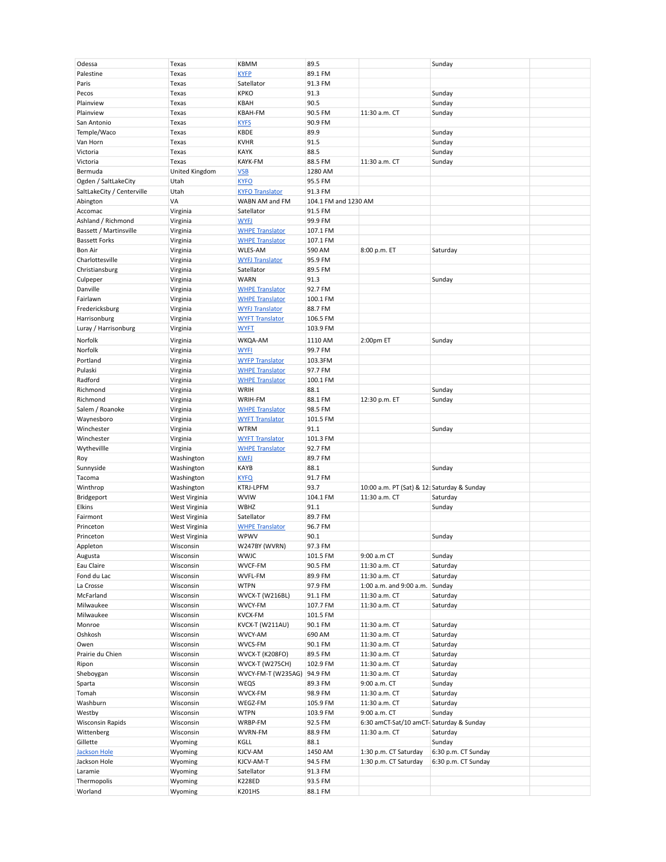| Odessa                     | Texas          | <b>KBMM</b>            | 89.5                 |                                             | Sunday              |  |
|----------------------------|----------------|------------------------|----------------------|---------------------------------------------|---------------------|--|
|                            |                |                        |                      |                                             |                     |  |
| Palestine                  | Texas          | <b>KYFP</b>            | 89.1 FM              |                                             |                     |  |
| Paris                      | Texas          | Satellator             | 91.3 FM              |                                             |                     |  |
|                            |                |                        |                      |                                             |                     |  |
| Pecos                      | Texas          | <b>KPKO</b>            | 91.3                 |                                             | Sunday              |  |
| Plainview                  | Texas          | KBAH                   | 90.5                 |                                             | Sunday              |  |
| Plainview                  | Texas          | KBAH-FM                | 90.5 FM              | 11:30 a.m. CT                               | Sunday              |  |
|                            |                |                        |                      |                                             |                     |  |
| San Antonio                | Texas          | <b>KYFS</b>            | 90.9 FM              |                                             |                     |  |
| Temple/Waco                | Texas          | <b>KBDE</b>            | 89.9                 |                                             | Sunday              |  |
|                            |                |                        |                      |                                             |                     |  |
| Van Horn                   | Texas          | <b>KVHR</b>            | 91.5                 |                                             | Sunday              |  |
| Victoria                   | Texas          | <b>KAYK</b>            | 88.5                 |                                             | Sunday              |  |
| Victoria                   | Texas          | KAYK-FM                | 88.5 FM              | 11:30 a.m. CT                               | Sunday              |  |
|                            |                |                        |                      |                                             |                     |  |
| Bermuda                    | United Kingdom | <b>VSB</b>             | 1280 AM              |                                             |                     |  |
| Ogden / SaltLakeCity       | Utah           | <b>KYFO</b>            | 95.5 FM              |                                             |                     |  |
| SaltLakeCity / Centerville | Utah           | <b>KYFO Translator</b> | 91.3 FM              |                                             |                     |  |
|                            |                |                        |                      |                                             |                     |  |
| Abington                   | VA             | WABN AM and FM         | 104.1 FM and 1230 AM |                                             |                     |  |
| Accomac                    | Virginia       | Satellator             | 91.5 FM              |                                             |                     |  |
| Ashland / Richmond         | Virginia       | <b>WYFJ</b>            | 99.9 FM              |                                             |                     |  |
|                            |                |                        |                      |                                             |                     |  |
| Bassett / Martinsville     | Virginia       | <b>WHPE Translator</b> | 107.1 FM             |                                             |                     |  |
| <b>Bassett Forks</b>       | Virginia       | <b>WHPE Translator</b> | 107.1 FM             |                                             |                     |  |
|                            |                |                        |                      |                                             |                     |  |
| Bon Air                    | Virginia       | <b>WLES-AM</b>         | 590 AM               | 8:00 p.m. ET                                | Saturday            |  |
| Charlottesville            | Virginia       | <b>WYFJ Translator</b> | 95.9 FM              |                                             |                     |  |
| Christiansburg             | Virginia       | Satellator             | 89.5 FM              |                                             |                     |  |
|                            |                | <b>WARN</b>            |                      |                                             |                     |  |
| Culpeper                   | Virginia       |                        | 91.3                 |                                             | Sunday              |  |
| Danville                   | Virginia       | <b>WHPE Translator</b> | 92.7 FM              |                                             |                     |  |
| Fairlawn                   | Virginia       | <b>WHPE Translator</b> | 100.1 FM             |                                             |                     |  |
|                            |                |                        |                      |                                             |                     |  |
| Fredericksburg             | Virginia       | <b>WYFJ Translator</b> | 88.7 FM              |                                             |                     |  |
| Harrisonburg               | Virginia       | <b>WYFT Translator</b> | 106.5 FM             |                                             |                     |  |
| Luray / Harrisonburg       | Virginia       | <b>WYFT</b>            | 103.9 FM             |                                             |                     |  |
|                            |                |                        |                      |                                             |                     |  |
| Norfolk                    | Virginia       | WKQA-AM                | 1110 AM              | 2:00pm ET                                   | Sunday              |  |
| Norfolk                    | Virginia       | <b>WYFI</b>            | 99.7 FM              |                                             |                     |  |
|                            |                |                        |                      |                                             |                     |  |
| Portland                   | Virginia       | <b>WYFP Translator</b> | 103.3FM              |                                             |                     |  |
| Pulaski                    | Virginia       | <b>WHPE Translator</b> | 97.7 FM              |                                             |                     |  |
| Radford                    |                | <b>WHPE Translator</b> | 100.1 FM             |                                             |                     |  |
|                            | Virginia       |                        |                      |                                             |                     |  |
| Richmond                   | Virginia       | WRIH                   | 88.1                 |                                             | Sunday              |  |
| Richmond                   | Virginia       | WRIH-FM                | 88.1 FM              | 12:30 p.m. ET                               | Sunday              |  |
|                            |                |                        |                      |                                             |                     |  |
| Salem / Roanoke            | Virginia       | <b>WHPE Translator</b> | 98.5 FM              |                                             |                     |  |
| Waynesboro                 | Virginia       | <b>WYFT Translator</b> | 101.5 FM             |                                             |                     |  |
| Winchester                 | Virginia       | <b>WTRM</b>            | 91.1                 |                                             | Sunday              |  |
|                            |                |                        |                      |                                             |                     |  |
| Winchester                 | Virginia       | <b>WYFT Translator</b> | 101.3 FM             |                                             |                     |  |
| Wythevillle                | Virginia       | <b>WHPE Translator</b> | 92.7 FM              |                                             |                     |  |
|                            | Washington     | <b>KWFJ</b>            | 89.7 FM              |                                             |                     |  |
| Roy                        |                |                        |                      |                                             |                     |  |
| Sunnyside                  | Washington     | KAYB                   | 88.1                 |                                             | Sunday              |  |
| Tacoma                     | Washington     | <b>KYFQ</b>            | 91.7 FM              |                                             |                     |  |
|                            |                |                        |                      |                                             |                     |  |
| Winthrop                   | Washington     | <b>KTRJ-LPFM</b>       | 93.7                 | 10:00 a.m. PT (Sat) & 12: Saturday & Sunday |                     |  |
| Bridgeport                 | West Virginia  | <b>WVIW</b>            | 104.1 FM             | 11:30 a.m. CT                               | Saturday            |  |
| Elkins                     | West Virginia  | WBHZ                   | 91.1                 |                                             | Sunday              |  |
|                            |                |                        |                      |                                             |                     |  |
| Fairmont                   | West Virginia  | Satellator             | 89.7 FM              |                                             |                     |  |
| Princeton                  | West Virginia  | <b>WHPE Translator</b> | 96.7 FM              |                                             |                     |  |
| Princeton                  | West Virginia  | WPWV                   | 90.1                 |                                             | Sunday              |  |
|                            |                |                        |                      |                                             |                     |  |
| Appleton                   | Wisconsin      | W247BY (WVRN)          | 97.3 FM              |                                             |                     |  |
| Augusta                    | Wisconsin      | <b>WWJC</b>            | 101.5 FM             | 9:00 a.m CT                                 | Sunday              |  |
| Eau Claire                 | Wisconsin      | WVCF-FM                | 90.5 FM              | 11:30 a.m. CT                               | Saturday            |  |
|                            |                |                        |                      |                                             |                     |  |
| Fond du Lac                | Wisconsin      | WVFL-FM                | 89.9 FM              | 11:30 a.m. CT                               | Saturday            |  |
| La Crosse                  | Wisconsin      | <b>WTPN</b>            | 97.9 FM              | 1:00 a.m. and 9:00 a.m.                     | Sunday              |  |
| McFarland                  | Wisconsin      | WVCX-T (W216BL)        | 91.1 FM              | 11:30 a.m. CT                               | Saturday            |  |
|                            |                |                        |                      |                                             |                     |  |
| Milwaukee                  | Wisconsin      | WVCY-FM                | 107.7 FM             | 11:30 a.m. CT                               | Saturday            |  |
| Milwaukee                  | Wisconsin      | <b>KVCX-FM</b>         | 101.5 FM             |                                             |                     |  |
| Monroe                     | Wisconsin      | KVCX-T (W211AU)        | 90.1 FM              | 11:30 a.m. CT                               | Saturday            |  |
|                            |                |                        |                      |                                             |                     |  |
| Oshkosh                    | Wisconsin      | WVCY-AM                | 690 AM               | 11:30 a.m. CT                               | Saturday            |  |
| Owen                       | Wisconsin      | WVCS-FM                | 90.1 FM              | 11:30 a.m. CT                               | Saturday            |  |
| Prairie du Chien           | Wisconsin      |                        | 89.5 FM              | 11:30 a.m. CT                               | Saturday            |  |
|                            |                | <b>WVCX-T (K208FO)</b> |                      |                                             |                     |  |
| Ripon                      | Wisconsin      | <b>WVCX-T (W275CH)</b> | 102.9 FM             | 11:30 a.m. CT                               | Saturday            |  |
| Sheboygan                  | Wisconsin      | WVCY-FM-T (W235AG)     | 94.9 FM              | 11:30 a.m. CT                               | Saturday            |  |
|                            |                |                        |                      |                                             |                     |  |
| Sparta                     | Wisconsin      | WEQS                   | 89.3 FM              | 9:00 a.m. CT                                | Sunday              |  |
| Tomah                      | Wisconsin      | WVCX-FM                | 98.9 FM              | 11:30 a.m. CT                               | Saturday            |  |
| Washburn                   | Wisconsin      | WEGZ-FM                | 105.9 FM             | 11:30 a.m. CT                               | Saturday            |  |
|                            |                |                        |                      |                                             |                     |  |
| Westby                     | Wisconsin      | <b>WTPN</b>            | 103.9 FM             | 9:00 a.m. CT                                | Sunday              |  |
| <b>Wisconsin Rapids</b>    | Wisconsin      | WRBP-FM                | 92.5 FM              | 6:30 amCT-Sat/10 amCT- Saturday & Sunday    |                     |  |
| Wittenberg                 | Wisconsin      | WVRN-FM                | 88.9 FM              | 11:30 a.m. CT                               | Saturday            |  |
|                            |                |                        |                      |                                             |                     |  |
| Gillette                   | Wyoming        | KGLL                   | 88.1                 |                                             | Sunday              |  |
| <b>Jackson Hole</b>        | Wyoming        | KJCV-AM                | 1450 AM              | 1:30 p.m. CT Saturday                       | 6:30 p.m. CT Sunday |  |
| Jackson Hole               | Wyoming        | KJCV-AM-T              | 94.5 FM              | 1:30 p.m. CT Saturday                       | 6:30 p.m. CT Sunday |  |
|                            |                |                        |                      |                                             |                     |  |
| Laramie                    | Wyoming        | Satellator             | 91.3 FM              |                                             |                     |  |
| Thermopolis                | Wyoming        | <b>K228ED</b>          | 93.5 FM              |                                             |                     |  |
| Worland                    | Wyoming        | K201HS                 | 88.1 FM              |                                             |                     |  |
|                            |                |                        |                      |                                             |                     |  |